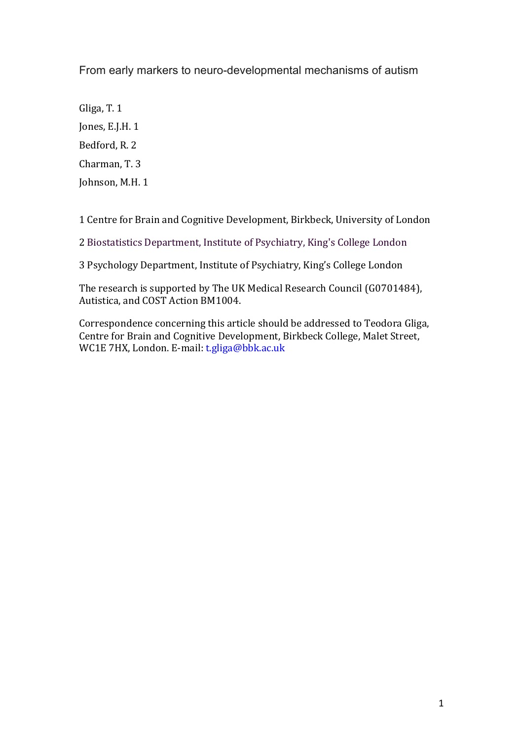From early markers to neuro-developmental mechanisms of autism

Gliga, T. 1 Jones, E.J.H. 1 Bedford, R. 2 Charman, T. 3 Johnson, M.H. 1

1 Centre for Brain and Cognitive Development, Birkbeck, University of London

2 Biostatistics Department, Institute of Psychiatry, King's College London

3 Psychology Department, Institute of Psychiatry, King's College London

The research is supported by The UK Medical Research Council (G0701484), Autistica, and COST Action BM1004.

Correspondence concerning this article should be addressed to Teodora Gliga, Centre for Brain and Cognitive Development, Birkbeck College, Malet Street, WC1E 7HX, London. E-mail: t.gliga@bbk.ac.uk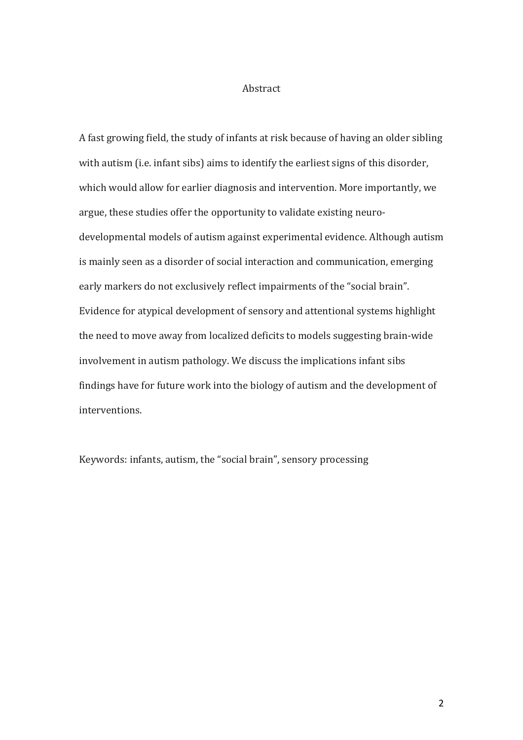#### Abstract

A fast growing field, the study of infants at risk because of having an older sibling with autism (i.e. infant sibs) aims to identify the earliest signs of this disorder, which would allow for earlier diagnosis and intervention. More importantly, we argue, these studies offer the opportunity to validate existing neurodevelopmental models of autism against experimental evidence. Although autism is mainly seen as a disorder of social interaction and communication, emerging early markers do not exclusively reflect impairments of the "social brain". Evidence for atypical development of sensory and attentional systems highlight the need to move away from localized deficits to models suggesting brain-wide involvement in autism pathology. We discuss the implications infant sibs findings have for future work into the biology of autism and the development of interventions.

Keywords: infants, autism, the "social brain", sensory processing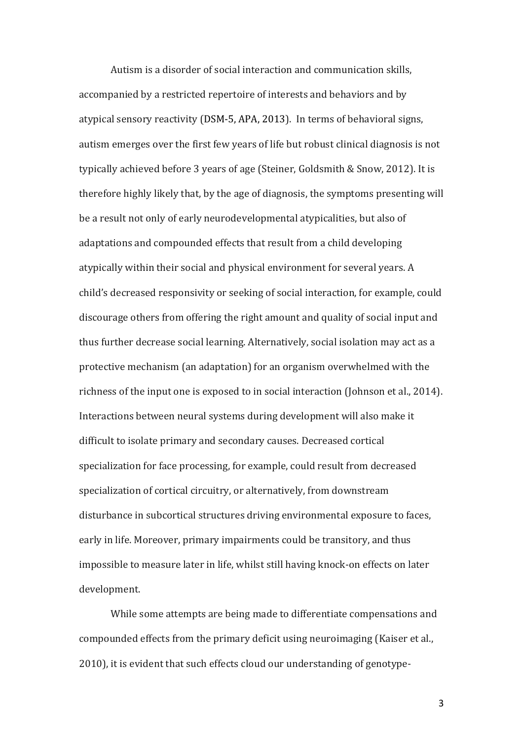Autism is a disorder of social interaction and communication skills, accompanied by a restricted repertoire of interests and behaviors and by atypical sensory reactivity (DSM-5, APA, 2013). In terms of behavioral signs, autism emerges over the first few years of life but robust clinical diagnosis is not typically achieved before 3 years of age (Steiner, Goldsmith & Snow, 2012). It is therefore highly likely that, by the age of diagnosis, the symptoms presenting will be a result not only of early neurodevelopmental atypicalities, but also of adaptations and compounded effects that result from a child developing atypically within their social and physical environment for several years. A child's decreased responsivity or seeking of social interaction, for example, could discourage others from offering the right amount and quality of social input and thus further decrease social learning. Alternatively, social isolation may act as a protective mechanism (an adaptation) for an organism overwhelmed with the richness of the input one is exposed to in social interaction (Johnson et al., 2014). Interactions between neural systems during development will also make it difficult to isolate primary and secondary causes. Decreased cortical specialization for face processing, for example, could result from decreased specialization of cortical circuitry, or alternatively, from downstream disturbance in subcortical structures driving environmental exposure to faces, early in life. Moreover, primary impairments could be transitory, and thus impossible to measure later in life, whilst still having knock-on effects on later development. 

While some attempts are being made to differentiate compensations and compounded effects from the primary deficit using neuroimaging (Kaiser et al., 2010), it is evident that such effects cloud our understanding of genotype-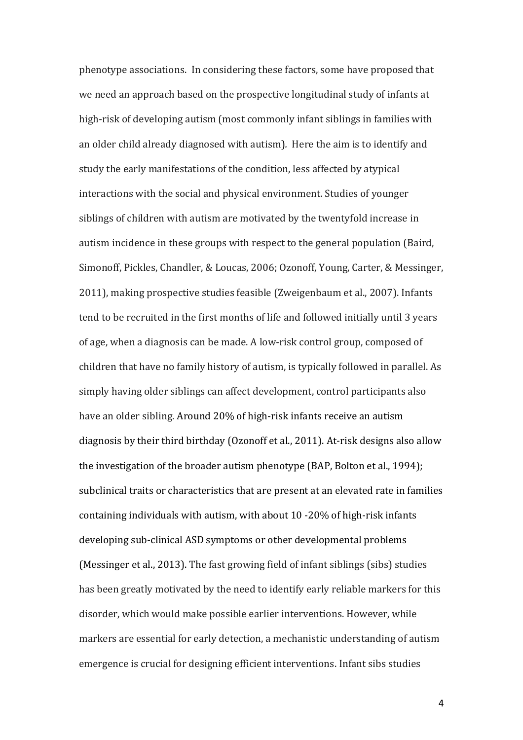phenotype associations. In considering these factors, some have proposed that we need an approach based on the prospective longitudinal study of infants at high-risk of developing autism (most commonly infant siblings in families with an older child already diagnosed with autism). Here the aim is to identify and study the early manifestations of the condition, less affected by atypical interactions with the social and physical environment. Studies of younger siblings of children with autism are motivated by the twentyfold increase in autism incidence in these groups with respect to the general population (Baird, Simonoff, Pickles, Chandler, & Loucas, 2006; Ozonoff, Young, Carter, & Messinger, 2011), making prospective studies feasible (Zweigenbaum et al., 2007). Infants tend to be recruited in the first months of life and followed initially until 3 years of age, when a diagnosis can be made. A low-risk control group, composed of children that have no family history of autism, is typically followed in parallel. As simply having older siblings can affect development, control participants also have an older sibling. Around 20% of high-risk infants receive an autism diagnosis by their third birthday (Ozonoff et al., 2011). At-risk designs also allow the investigation of the broader autism phenotype (BAP, Bolton et al., 1994); subclinical traits or characteristics that are present at an elevated rate in families containing individuals with autism, with about  $10 - 20\%$  of high-risk infants developing sub-clinical ASD symptoms or other developmental problems (Messinger et al., 2013). The fast growing field of infant siblings (sibs) studies has been greatly motivated by the need to identify early reliable markers for this disorder, which would make possible earlier interventions. However, while markers are essential for early detection, a mechanistic understanding of autism emergence is crucial for designing efficient interventions. Infant sibs studies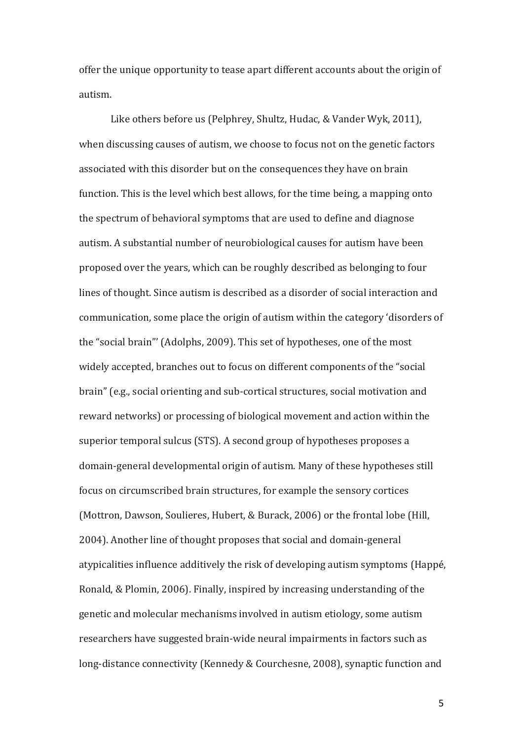offer the unique opportunity to tease apart different accounts about the origin of autism.

Like others before us (Pelphrey, Shultz, Hudac, & Vander Wyk, 2011), when discussing causes of autism, we choose to focus not on the genetic factors associated with this disorder but on the consequences they have on brain function. This is the level which best allows, for the time being, a mapping onto the spectrum of behavioral symptoms that are used to define and diagnose autism. A substantial number of neurobiological causes for autism have been proposed over the years, which can be roughly described as belonging to four lines of thought. Since autism is described as a disorder of social interaction and communication, some place the origin of autism within the category 'disorders of the "social brain"' (Adolphs, 2009). This set of hypotheses, one of the most widely accepted, branches out to focus on different components of the "social brain" (e.g., social orienting and sub-cortical structures, social motivation and reward networks) or processing of biological movement and action within the superior temporal sulcus (STS). A second group of hypotheses proposes a domain-general developmental origin of autism. Many of these hypotheses still focus on circumscribed brain structures, for example the sensory cortices (Mottron, Dawson, Soulieres, Hubert, & Burack, 2006) or the frontal lobe (Hill, 2004). Another line of thought proposes that social and domain-general atypicalities influence additively the risk of developing autism symptoms (Happé, Ronald, & Plomin, 2006). Finally, inspired by increasing understanding of the genetic and molecular mechanisms involved in autism etiology, some autism researchers have suggested brain-wide neural impairments in factors such as long-distance connectivity (Kennedy & Courchesne, 2008), synaptic function and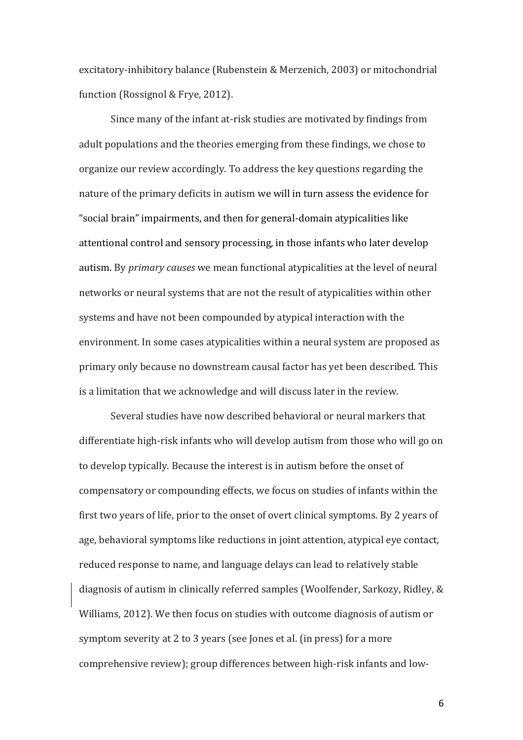excitatory-inhibitory balance (Rubenstein & Merzenich, 2003) or mitochondrial function (Rossignol & Frye, 2012).

Since many of the infant at-risk studies are motivated by findings from adult populations and the theories emerging from these findings, we chose to organize our review accordingly. To address the key questions regarding the nature of the primary deficits in autism we will in turn assess the evidence for "social brain" impairments, and then for general-domain atypicalities like attentional control and sensory processing, in those infants who later develop autism. By *primary causes* we mean functional atypicalities at the level of neural networks or neural systems that are not the result of atypicalities within other systems and have not been compounded by atypical interaction with the environment. In some cases atypicalities within a neural system are proposed as primary only because no downstream causal factor has yet been described. This is a limitation that we acknowledge and will discuss later in the review.

Several studies have now described behavioral or neural markers that differentiate high-risk infants who will develop autism from those who will go on to develop typically. Because the interest is in autism before the onset of compensatory or compounding effects, we focus on studies of infants within the first two years of life, prior to the onset of overt clinical symptoms. By 2 years of age, behavioral symptoms like reductions in joint attention, atypical eye contact, reduced response to name, and language delays can lead to relatively stable diagnosis of autism in clinically referred samples (Woolfender, Sarkozy, Ridley, & Williams, 2012). We then focus on studies with outcome diagnosis of autism or symptom severity at 2 to 3 years (see Jones et al. (in press) for a more comprehensive review); group differences between high-risk infants and low-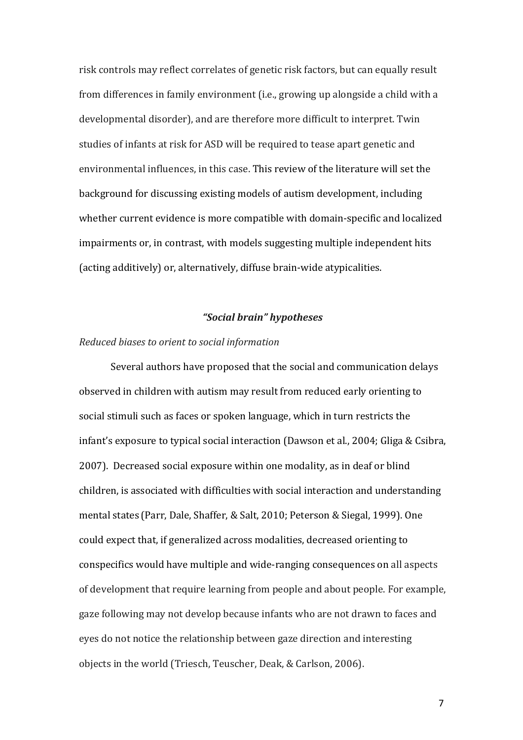risk controls may reflect correlates of genetic risk factors, but can equally result from differences in family environment (i.e., growing up alongside a child with a developmental disorder), and are therefore more difficult to interpret. Twin studies of infants at risk for ASD will be required to tease apart genetic and environmental influences, in this case. This review of the literature will set the background for discussing existing models of autism development, including whether current evidence is more compatible with domain-specific and localized impairments or, in contrast, with models suggesting multiple independent hits (acting additively) or, alternatively, diffuse brain-wide atypicalities.

# *"Social brain" hypotheses*

### *Reduced biases to orient to social information*

Several authors have proposed that the social and communication delays observed in children with autism may result from reduced early orienting to social stimuli such as faces or spoken language, which in turn restricts the infant's exposure to typical social interaction (Dawson et al., 2004; Gliga & Csibra, 2007). Decreased social exposure within one modality, as in deaf or blind children, is associated with difficulties with social interaction and understanding mental states (Parr, Dale, Shaffer, & Salt, 2010; Peterson & Siegal, 1999). One could expect that, if generalized across modalities, decreased orienting to conspecifics would have multiple and wide-ranging consequences on all aspects of development that require learning from people and about people. For example, gaze following may not develop because infants who are not drawn to faces and eyes do not notice the relationship between gaze direction and interesting objects in the world (Triesch, Teuscher, Deak, & Carlson, 2006).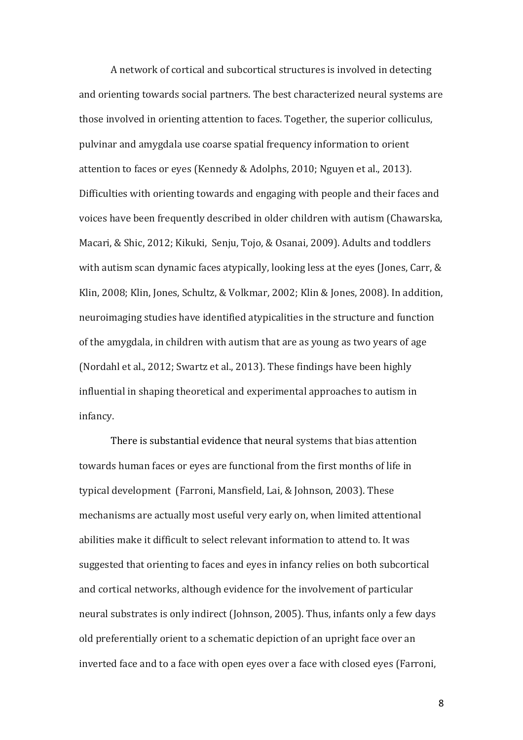A network of cortical and subcortical structures is involved in detecting and orienting towards social partners. The best characterized neural systems are those involved in orienting attention to faces. Together, the superior colliculus, pulvinar and amygdala use coarse spatial frequency information to orient attention to faces or eyes (Kennedy & Adolphs, 2010; Nguyen et al., 2013). Difficulties with orienting towards and engaging with people and their faces and voices have been frequently described in older children with autism (Chawarska, Macari, & Shic, 2012; Kikuki, Senju, Tojo, & Osanai, 2009). Adults and toddlers with autism scan dynamic faces atypically, looking less at the eyes (Jones, Carr,  $\&$ Klin, 2008; Klin, Jones, Schultz, & Volkmar, 2002; Klin & Jones, 2008). In addition, neuroimaging studies have identified atypicalities in the structure and function of the amygdala, in children with autism that are as young as two years of age (Nordahl et al., 2012; Swartz et al., 2013). These findings have been highly influential in shaping theoretical and experimental approaches to autism in infancy.

There is substantial evidence that neural systems that bias attention towards human faces or eyes are functional from the first months of life in typical development (Farroni, Mansfield, Lai, & Johnson, 2003). These mechanisms are actually most useful very early on, when limited attentional abilities make it difficult to select relevant information to attend to. It was suggested that orienting to faces and eves in infancy relies on both subcortical and cortical networks, although evidence for the involvement of particular neural substrates is only indirect (Johnson, 2005). Thus, infants only a few days old preferentially orient to a schematic depiction of an upright face over an inverted face and to a face with open eyes over a face with closed eyes (Farroni,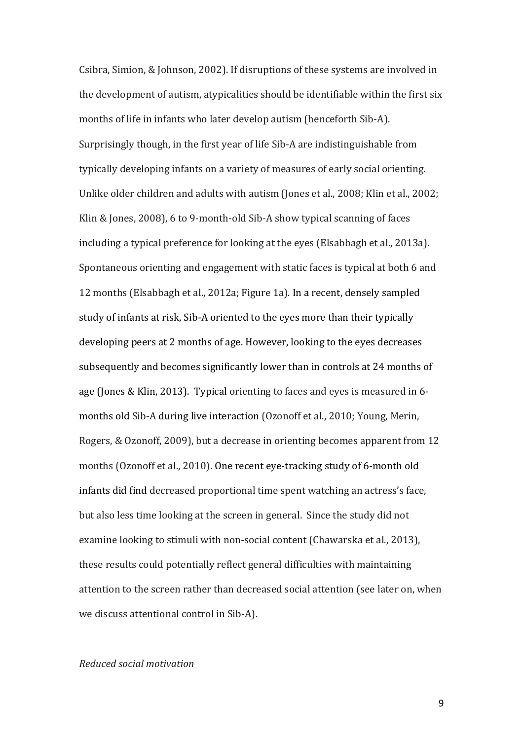Csibra, Simion, & Johnson, 2002). If disruptions of these systems are involved in the development of autism, atypicalities should be identifiable within the first six months of life in infants who later develop autism (henceforth Sib-A). Surprisingly though, in the first year of life Sib-A are indistinguishable from typically developing infants on a variety of measures of early social orienting. Unlike older children and adults with autism (Jones et al., 2008; Klin et al., 2002; Klin & Jones, 2008), 6 to 9-month-old Sib-A show typical scanning of faces including a typical preference for looking at the eyes (Elsabbagh et al., 2013a). Spontaneous orienting and engagement with static faces is typical at both 6 and 12 months (Elsabbagh et al., 2012a; Figure 1a). In a recent, densely sampled study of infants at risk, Sib-A oriented to the eyes more than their typically developing peers at 2 months of age. However, looking to the eyes decreases subsequently and becomes significantly lower than in controls at 24 months of age (Jones & Klin, 2013). Typical orienting to faces and eyes is measured in 6months old Sib-A during live interaction (Ozonoff et al., 2010; Young, Merin, Rogers, & Ozonoff, 2009), but a decrease in orienting becomes apparent from 12 months (Ozonoff et al., 2010). One recent eye-tracking study of 6-month old infants did find decreased proportional time spent watching an actress's face, but also less time looking at the screen in general. Since the study did not examine looking to stimuli with non-social content (Chawarska et al., 2013), these results could potentially reflect general difficulties with maintaining attention to the screen rather than decreased social attention (see later on, when we discuss attentional control in Sib-A).

### *Reduced social motivation*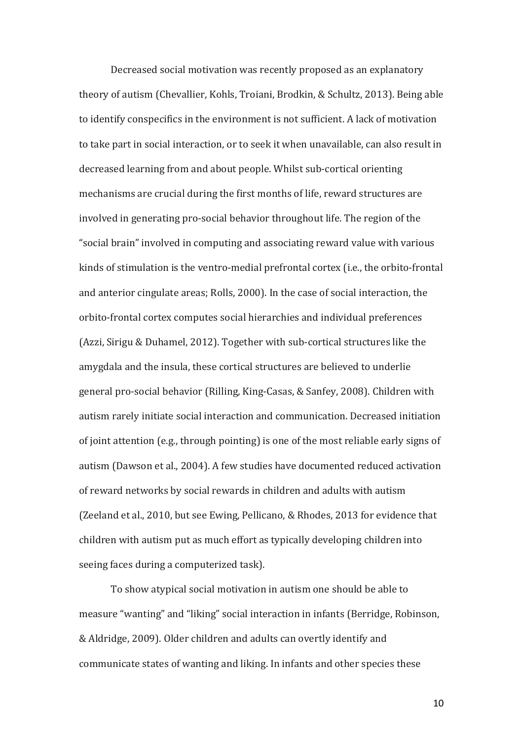Decreased social motivation was recently proposed as an explanatory theory of autism (Chevallier, Kohls, Troiani, Brodkin, & Schultz, 2013). Being able to identify conspecifics in the environment is not sufficient. A lack of motivation to take part in social interaction, or to seek it when unavailable, can also result in decreased learning from and about people. Whilst sub-cortical orienting mechanisms are crucial during the first months of life, reward structures are involved in generating pro-social behavior throughout life. The region of the "social brain" involved in computing and associating reward value with various kinds of stimulation is the ventro-medial prefrontal cortex (i.e., the orbito-frontal and anterior cingulate areas; Rolls, 2000). In the case of social interaction, the orbito-frontal cortex computes social hierarchies and individual preferences (Azzi, Sirigu & Duhamel, 2012). Together with sub-cortical structures like the amygdala and the insula, these cortical structures are believed to underlie general pro-social behavior (Rilling, King-Casas, & Sanfey, 2008). Children with autism rarely initiate social interaction and communication. Decreased initiation of joint attention  $(e.g., through pointing)$  is one of the most reliable early signs of autism (Dawson et al., 2004). A few studies have documented reduced activation of reward networks by social rewards in children and adults with autism (Zeeland et al., 2010, but see Ewing, Pellicano, & Rhodes, 2013 for evidence that children with autism put as much effort as typically developing children into seeing faces during a computerized task).

To show atypical social motivation in autism one should be able to measure "wanting" and "liking" social interaction in infants (Berridge, Robinson, & Aldridge, 2009). Older children and adults can overtly identify and communicate states of wanting and liking. In infants and other species these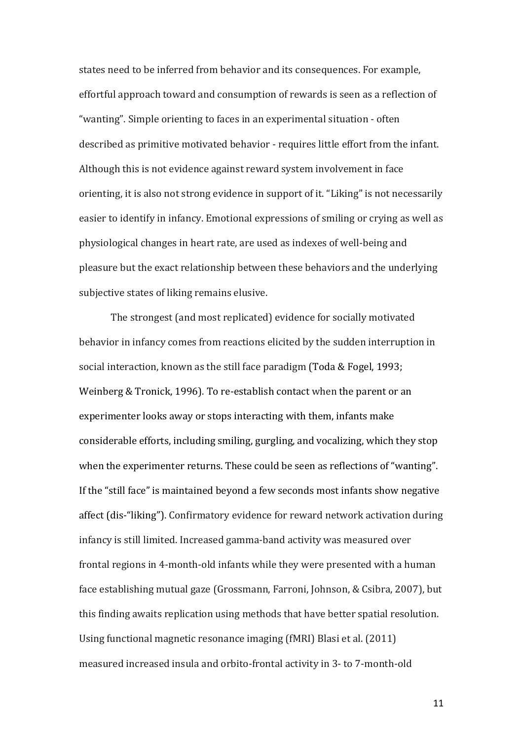states need to be inferred from behavior and its consequences. For example, effortful approach toward and consumption of rewards is seen as a reflection of "wanting". Simple orienting to faces in an experimental situation - often described as primitive motivated behavior - requires little effort from the infant. Although this is not evidence against reward system involvement in face orienting, it is also not strong evidence in support of it. "Liking" is not necessarily easier to identify in infancy. Emotional expressions of smiling or crying as well as physiological changes in heart rate, are used as indexes of well-being and pleasure but the exact relationship between these behaviors and the underlying subjective states of liking remains elusive.

The strongest (and most replicated) evidence for socially motivated behavior in infancy comes from reactions elicited by the sudden interruption in social interaction, known as the still face paradigm (Toda & Fogel, 1993; Weinberg & Tronick, 1996). To re-establish contact when the parent or an experimenter looks away or stops interacting with them, infants make considerable efforts, including smiling, gurgling, and vocalizing, which they stop when the experimenter returns. These could be seen as reflections of "wanting". If the "still face" is maintained beyond a few seconds most infants show negative affect (dis-"liking"). Confirmatory evidence for reward network activation during infancy is still limited. Increased gamma-band activity was measured over frontal regions in 4-month-old infants while they were presented with a human face establishing mutual gaze (Grossmann, Farroni, Johnson, & Csibra, 2007), but this finding awaits replication using methods that have better spatial resolution. Using functional magnetic resonance imaging (fMRI) Blasi et al. (2011) measured increased insula and orbito-frontal activity in 3- to 7-month-old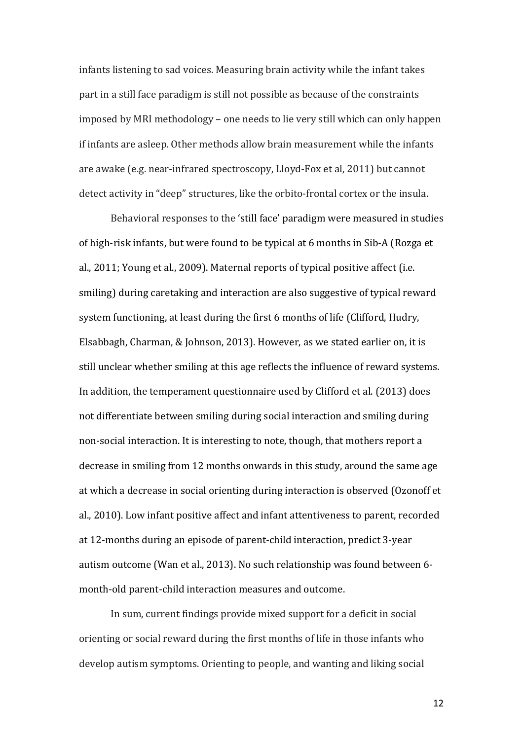infants listening to sad voices. Measuring brain activity while the infant takes part in a still face paradigm is still not possible as because of the constraints imposed by MRI methodology – one needs to lie very still which can only happen if infants are asleep. Other methods allow brain measurement while the infants are awake (e.g. near-infrared spectroscopy, Lloyd-Fox et al, 2011) but cannot detect activity in "deep" structures, like the orbito-frontal cortex or the insula.

Behavioral responses to the 'still face' paradigm were measured in studies of high-risk infants, but were found to be typical at 6 months in Sib-A (Rozga et al., 2011; Young et al., 2009). Maternal reports of typical positive affect (i.e. smiling) during caretaking and interaction are also suggestive of typical reward system functioning, at least during the first 6 months of life (Clifford, Hudry, Elsabbagh, Charman, & Johnson, 2013). However, as we stated earlier on, it is still unclear whether smiling at this age reflects the influence of reward systems. In addition, the temperament questionnaire used by Clifford et al. (2013) does not differentiate between smiling during social interaction and smiling during non-social interaction. It is interesting to note, though, that mothers report a decrease in smiling from 12 months onwards in this study, around the same age at which a decrease in social orienting during interaction is observed (Ozonoff et al., 2010). Low infant positive affect and infant attentiveness to parent, recorded at 12-months during an episode of parent-child interaction, predict 3-year autism outcome (Wan et al., 2013). No such relationship was found between 6month-old parent-child interaction measures and outcome.

In sum, current findings provide mixed support for a deficit in social orienting or social reward during the first months of life in those infants who develop autism symptoms. Orienting to people, and wanting and liking social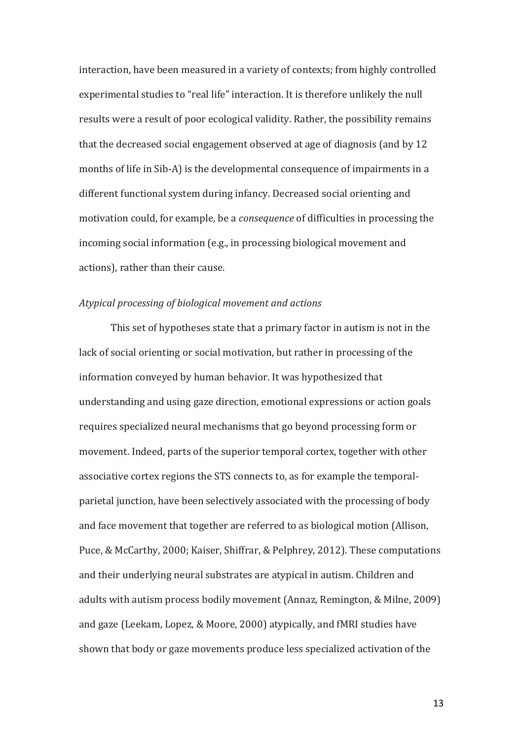interaction, have been measured in a variety of contexts; from highly controlled experimental studies to "real life" interaction. It is therefore unlikely the null results were a result of poor ecological validity. Rather, the possibility remains that the decreased social engagement observed at age of diagnosis (and by 12 months of life in Sib-A) is the developmental consequence of impairments in a different functional system during infancy. Decreased social orienting and motivation could, for example, be a *consequence* of difficulties in processing the incoming social information (e.g., in processing biological movement and actions), rather than their cause.

### *Atypical processing of biological movement and actions*

This set of hypotheses state that a primary factor in autism is not in the lack of social orienting or social motivation, but rather in processing of the information conveyed by human behavior. It was hypothesized that understanding and using gaze direction, emotional expressions or action goals requires specialized neural mechanisms that go beyond processing form or movement. Indeed, parts of the superior temporal cortex, together with other associative cortex regions the STS connects to, as for example the temporalparietal junction, have been selectively associated with the processing of body and face movement that together are referred to as biological motion (Allison, Puce, & McCarthy, 2000; Kaiser, Shiffrar, & Pelphrey, 2012). These computations and their underlying neural substrates are atypical in autism. Children and adults with autism process bodily movement (Annaz, Remington, & Milne, 2009) and gaze (Leekam, Lopez, & Moore, 2000) atypically, and fMRI studies have shown that body or gaze movements produce less specialized activation of the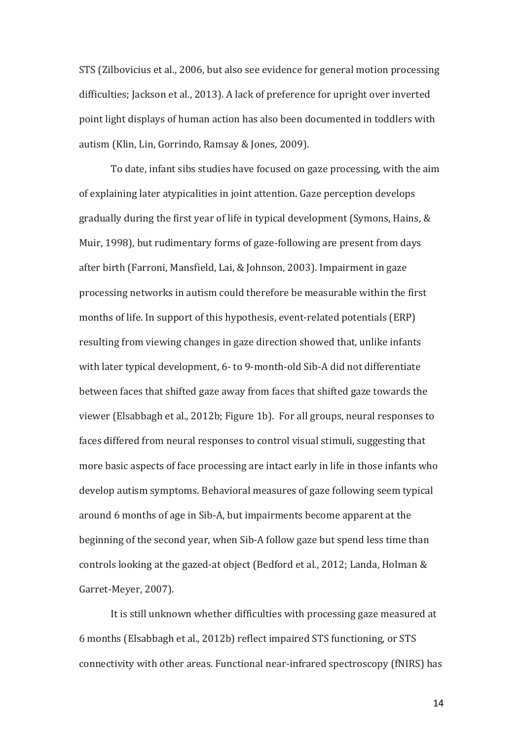STS (Zilbovicius et al., 2006, but also see evidence for general motion processing difficulties; Jackson et al., 2013). A lack of preference for upright over inverted point light displays of human action has also been documented in toddlers with autism (Klin, Lin, Gorrindo, Ramsay & Jones, 2009).

To date, infant sibs studies have focused on gaze processing, with the aim of explaining later atypicalities in joint attention. Gaze perception develops gradually during the first year of life in typical development (Symons, Hains,  $\&$ Muir, 1998), but rudimentary forms of gaze-following are present from days after birth (Farroni, Mansfield, Lai, & Johnson, 2003). Impairment in gaze processing networks in autism could therefore be measurable within the first months of life. In support of this hypothesis, event-related potentials (ERP) resulting from viewing changes in gaze direction showed that, unlike infants with later typical development, 6- to 9-month-old Sib-A did not differentiate between faces that shifted gaze away from faces that shifted gaze towards the viewer (Elsabbagh et al., 2012b; Figure 1b). For all groups, neural responses to faces differed from neural responses to control visual stimuli, suggesting that more basic aspects of face processing are intact early in life in those infants who develop autism symptoms. Behavioral measures of gaze following seem typical around 6 months of age in Sib-A, but impairments become apparent at the beginning of the second year, when Sib-A follow gaze but spend less time than controls looking at the gazed-at object (Bedford et al., 2012; Landa, Holman & Garret-Meyer, 2007).

It is still unknown whether difficulties with processing gaze measured at 6 months (Elsabbagh et al., 2012b) reflect impaired STS functioning, or STS connectivity with other areas. Functional near-infrared spectroscopy (fNIRS) has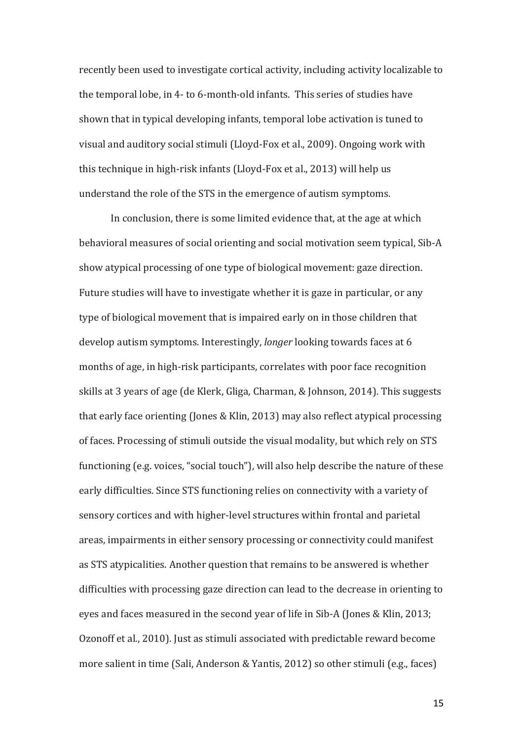recently been used to investigate cortical activity, including activity localizable to the temporal lobe, in 4- to 6-month-old infants. This series of studies have shown that in typical developing infants, temporal lobe activation is tuned to visual and auditory social stimuli (Lloyd-Fox et al., 2009). Ongoing work with this technique in high-risk infants (Lloyd-Fox et al., 2013) will help us understand the role of the STS in the emergence of autism symptoms.

In conclusion, there is some limited evidence that, at the age at which behavioral measures of social orienting and social motivation seem typical, Sib-A show atypical processing of one type of biological movement: gaze direction. Future studies will have to investigate whether it is gaze in particular, or any type of biological movement that is impaired early on in those children that develop autism symptoms. Interestingly, *longer* looking towards faces at 6 months of age, in high-risk participants, correlates with poor face recognition skills at 3 years of age (de Klerk, Gliga, Charman, & Johnson, 2014). This suggests that early face orienting (Jones & Klin, 2013) may also reflect atypical processing of faces. Processing of stimuli outside the visual modality, but which rely on STS functioning (e.g. voices, "social touch"), will also help describe the nature of these early difficulties. Since STS functioning relies on connectivity with a variety of sensory cortices and with higher-level structures within frontal and parietal areas, impairments in either sensory processing or connectivity could manifest as STS atypicalities. Another question that remains to be answered is whether difficulties with processing gaze direction can lead to the decrease in orienting to eyes and faces measured in the second year of life in Sib-A (Jones & Klin, 2013; Ozonoff et al., 2010). Just as stimuli associated with predictable reward become more salient in time (Sali, Anderson & Yantis, 2012) so other stimuli (e.g., faces)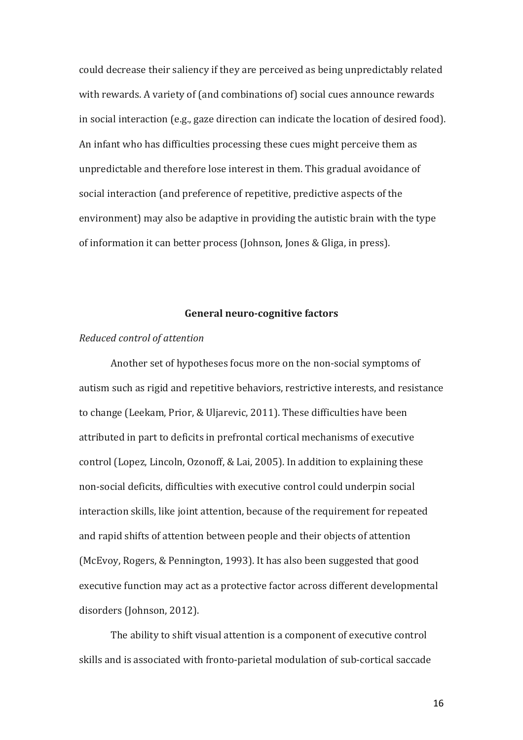could decrease their saliency if they are perceived as being unpredictably related with rewards. A variety of (and combinations of) social cues announce rewards in social interaction (e.g., gaze direction can indicate the location of desired food). An infant who has difficulties processing these cues might perceive them as unpredictable and therefore lose interest in them. This gradual avoidance of social interaction (and preference of repetitive, predictive aspects of the environment) may also be adaptive in providing the autistic brain with the type of information it can better process (Johnson, Jones & Gliga, in press).

#### General neuro-cognitive factors

#### *Reduced control of attention*

Another set of hypotheses focus more on the non-social symptoms of autism such as rigid and repetitive behaviors, restrictive interests, and resistance to change (Leekam, Prior, & Uljarevic, 2011). These difficulties have been attributed in part to deficits in prefrontal cortical mechanisms of executive control (Lopez, Lincoln, Ozonoff, & Lai, 2005). In addition to explaining these non-social deficits, difficulties with executive control could underpin social interaction skills, like joint attention, because of the requirement for repeated and rapid shifts of attention between people and their objects of attention (McEvoy, Rogers, & Pennington, 1993). It has also been suggested that good executive function may act as a protective factor across different developmental disorders (Johnson, 2012).

The ability to shift visual attention is a component of executive control skills and is associated with fronto-parietal modulation of sub-cortical saccade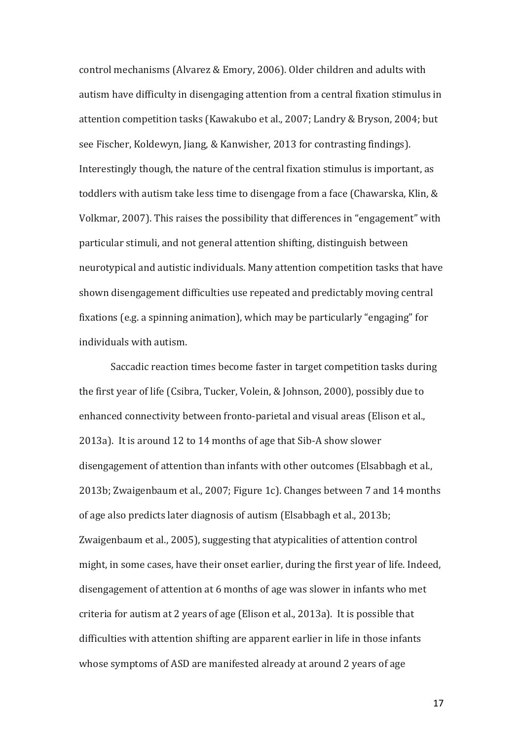control mechanisms (Alvarez & Emory, 2006). Older children and adults with autism have difficulty in disengaging attention from a central fixation stimulus in attention competition tasks (Kawakubo et al., 2007; Landry & Bryson, 2004; but see Fischer, Koldewyn, Jiang, & Kanwisher, 2013 for contrasting findings). Interestingly though, the nature of the central fixation stimulus is important, as toddlers with autism take less time to disengage from a face (Chawarska, Klin,  $\&$ Volkmar, 2007). This raises the possibility that differences in "engagement" with particular stimuli, and not general attention shifting, distinguish between neurotypical and autistic individuals. Many attention competition tasks that have shown disengagement difficulties use repeated and predictably moving central fixations (e.g. a spinning animation), which may be particularly "engaging" for individuals with autism.

Saccadic reaction times become faster in target competition tasks during the first year of life (Csibra, Tucker, Volein, & Johnson, 2000), possibly due to enhanced connectivity between fronto-parietal and visual areas (Elison et al., 2013a). It is around 12 to 14 months of age that  $Sib-A$  show slower disengagement of attention than infants with other outcomes (Elsabbagh et al., 2013b; Zwaigenbaum et al., 2007; Figure 1c). Changes between 7 and 14 months of age also predicts later diagnosis of autism (Elsabbagh et al., 2013b; Zwaigenbaum et al., 2005), suggesting that atypicalities of attention control might, in some cases, have their onset earlier, during the first year of life. Indeed, disengagement of attention at 6 months of age was slower in infants who met criteria for autism at 2 years of age (Elison et al., 2013a). It is possible that difficulties with attention shifting are apparent earlier in life in those infants whose symptoms of ASD are manifested already at around 2 years of age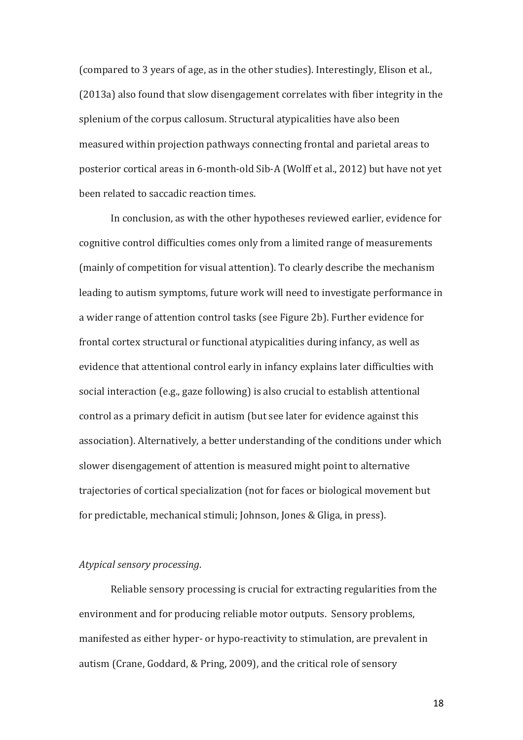(compared to 3 years of age, as in the other studies). Interestingly, Elison et al., (2013a) also found that slow disengagement correlates with fiber integrity in the splenium of the corpus callosum. Structural atypicalities have also been measured within projection pathways connecting frontal and parietal areas to posterior cortical areas in 6-month-old Sib-A (Wolff et al., 2012) but have not yet been related to saccadic reaction times.

In conclusion, as with the other hypotheses reviewed earlier, evidence for cognitive control difficulties comes only from a limited range of measurements (mainly of competition for visual attention). To clearly describe the mechanism leading to autism symptoms, future work will need to investigate performance in a wider range of attention control tasks (see Figure 2b). Further evidence for frontal cortex structural or functional atypicalities during infancy, as well as evidence that attentional control early in infancy explains later difficulties with social interaction (e.g., gaze following) is also crucial to establish attentional control as a primary deficit in autism (but see later for evidence against this association). Alternatively, a better understanding of the conditions under which slower disengagement of attention is measured might point to alternative trajectories of cortical specialization (not for faces or biological movement but for predictable, mechanical stimuli; Johnson, Jones & Gliga, in press).

# *Atypical sensory processing*.

Reliable sensory processing is crucial for extracting regularities from the environment and for producing reliable motor outputs. Sensory problems, manifested as either hyper- or hypo-reactivity to stimulation, are prevalent in autism (Crane, Goddard, & Pring, 2009), and the critical role of sensory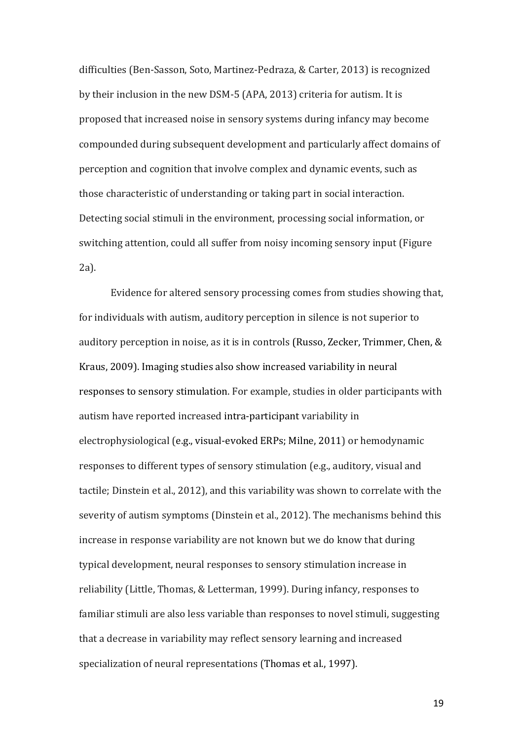difficulties (Ben-Sasson, Soto, Martinez-Pedraza, & Carter, 2013) is recognized by their inclusion in the new DSM-5 (APA, 2013) criteria for autism. It is proposed that increased noise in sensory systems during infancy may become compounded during subsequent development and particularly affect domains of perception and cognition that involve complex and dynamic events, such as those characteristic of understanding or taking part in social interaction. Detecting social stimuli in the environment, processing social information, or switching attention, could all suffer from noisy incoming sensory input (Figure 2a).

Evidence for altered sensory processing comes from studies showing that, for individuals with autism, auditory perception in silence is not superior to auditory perception in noise, as it is in controls (Russo, Zecker, Trimmer, Chen, & Kraus, 2009). Imaging studies also show increased variability in neural responses to sensory stimulation. For example, studies in older participants with autism have reported increased intra-participant variability in electrophysiological (e.g., visual-evoked ERPs; Milne, 2011) or hemodynamic responses to different types of sensory stimulation (e.g., auditory, visual and tactile; Dinstein et al., 2012), and this variability was shown to correlate with the severity of autism symptoms (Dinstein et al., 2012). The mechanisms behind this increase in response variability are not known but we do know that during typical development, neural responses to sensory stimulation increase in reliability (Little, Thomas, & Letterman, 1999). During infancy, responses to familiar stimuli are also less variable than responses to novel stimuli, suggesting that a decrease in variability may reflect sensory learning and increased specialization of neural representations (Thomas et al., 1997).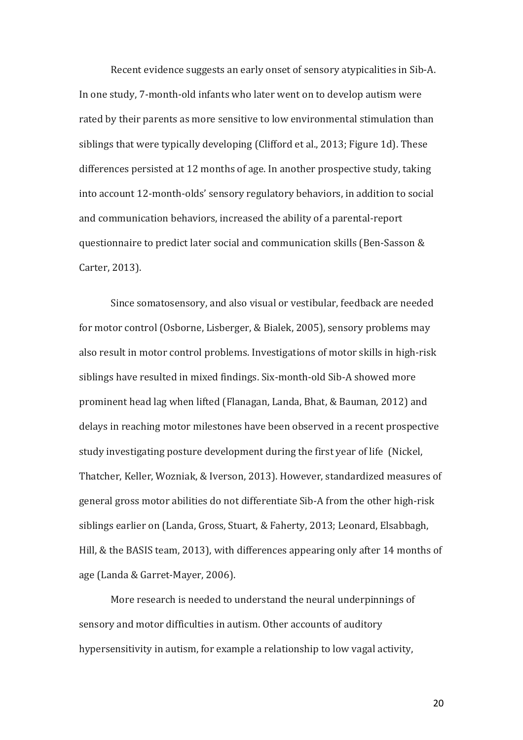Recent evidence suggests an early onset of sensory atypicalities in Sib-A. In one study, 7-month-old infants who later went on to develop autism were rated by their parents as more sensitive to low environmental stimulation than siblings that were typically developing (Clifford et al., 2013; Figure 1d). These differences persisted at 12 months of age. In another prospective study, taking into account 12-month-olds' sensory regulatory behaviors, in addition to social and communication behaviors, increased the ability of a parental-report questionnaire to predict later social and communication skills (Ben-Sasson & Carter, 2013).

Since somatosensory, and also visual or vestibular, feedback are needed for motor control (Osborne, Lisberger, & Bialek, 2005), sensory problems may also result in motor control problems. Investigations of motor skills in high-risk siblings have resulted in mixed findings. Six-month-old Sib-A showed more prominent head lag when lifted (Flanagan, Landa, Bhat, & Bauman, 2012) and delays in reaching motor milestones have been observed in a recent prospective study investigating posture development during the first year of life (Nickel, Thatcher, Keller, Wozniak, & Iverson, 2013). However, standardized measures of general gross motor abilities do not differentiate Sib-A from the other high-risk siblings earlier on (Landa, Gross, Stuart, & Faherty, 2013; Leonard, Elsabbagh, Hill, & the BASIS team, 2013), with differences appearing only after 14 months of age (Landa & Garret-Mayer, 2006).

More research is needed to understand the neural underpinnings of sensory and motor difficulties in autism. Other accounts of auditory hypersensitivity in autism, for example a relationship to low vagal activity,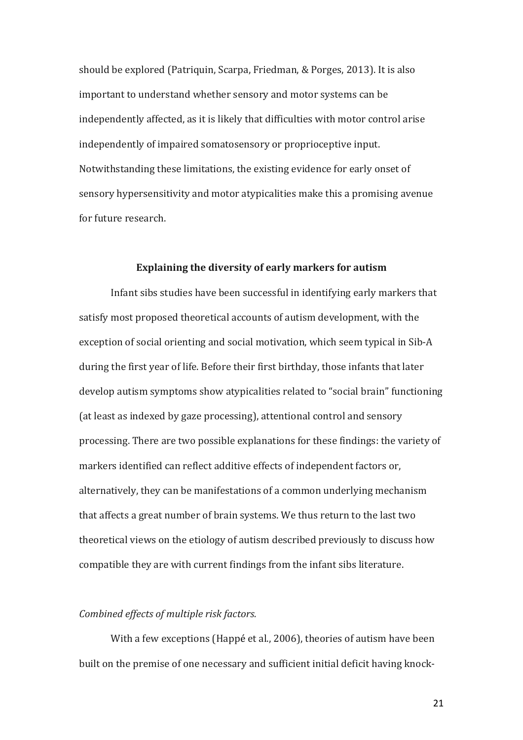should be explored (Patriquin, Scarpa, Friedman, & Porges, 2013). It is also important to understand whether sensory and motor systems can be independently affected, as it is likely that difficulties with motor control arise independently of impaired somatosensory or proprioceptive input. Notwithstanding these limitations, the existing evidence for early onset of sensory hypersensitivity and motor atypicalities make this a promising avenue for future research.

### **Explaining the diversity of early markers for autism**

Infant sibs studies have been successful in identifying early markers that satisfy most proposed theoretical accounts of autism development, with the exception of social orienting and social motivation, which seem typical in Sib-A during the first year of life. Before their first birthday, those infants that later develop autism symptoms show atypicalities related to "social brain" functioning (at least as indexed by gaze processing), attentional control and sensory processing. There are two possible explanations for these findings: the variety of markers identified can reflect additive effects of independent factors or, alternatively, they can be manifestations of a common underlying mechanism that affects a great number of brain systems. We thus return to the last two theoretical views on the etiology of autism described previously to discuss how compatible they are with current findings from the infant sibs literature.

# *Combined effects of multiple risk factors.*

With a few exceptions (Happé et al., 2006), theories of autism have been built on the premise of one necessary and sufficient initial deficit having knock-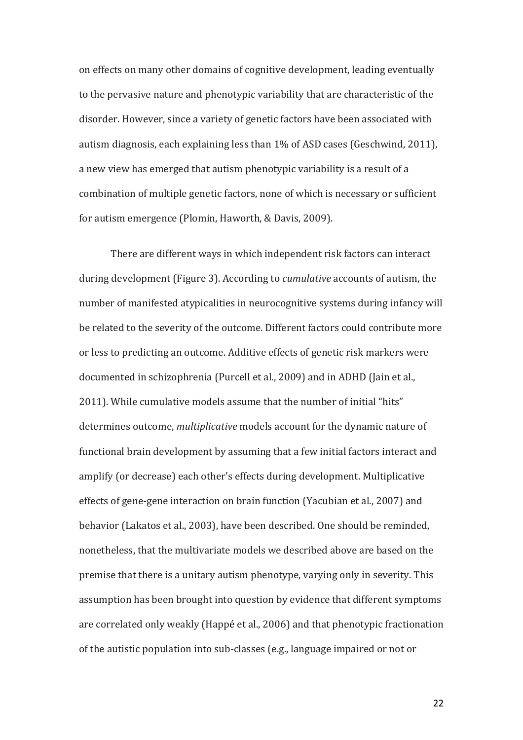on effects on many other domains of cognitive development, leading eventually to the pervasive nature and phenotypic variability that are characteristic of the disorder. However, since a variety of genetic factors have been associated with autism diagnosis, each explaining less than 1% of ASD cases (Geschwind, 2011), a new view has emerged that autism phenotypic variability is a result of a combination of multiple genetic factors, none of which is necessary or sufficient for autism emergence (Plomin, Haworth, & Davis, 2009).

There are different ways in which independent risk factors can interact during development (Figure 3). According to *cumulative* accounts of autism, the number of manifested atypicalities in neurocognitive systems during infancy will be related to the severity of the outcome. Different factors could contribute more or less to predicting an outcome. Additive effects of genetic risk markers were documented in schizophrenia (Purcell et al., 2009) and in ADHD (Jain et al., 2011). While cumulative models assume that the number of initial "hits" determines outcome, *multiplicative* models account for the dynamic nature of functional brain development by assuming that a few initial factors interact and amplify (or decrease) each other's effects during development. Multiplicative effects of gene-gene interaction on brain function (Yacubian et al., 2007) and behavior (Lakatos et al., 2003), have been described. One should be reminded. nonetheless, that the multivariate models we described above are based on the premise that there is a unitary autism phenotype, varying only in severity. This assumption has been brought into question by evidence that different symptoms are correlated only weakly (Happé et al., 2006) and that phenotypic fractionation of the autistic population into sub-classes (e.g., language impaired or not or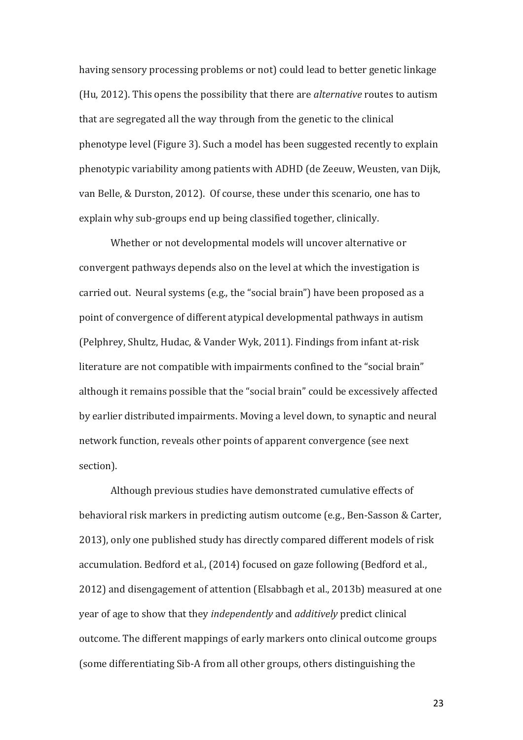having sensory processing problems or not) could lead to better genetic linkage (Hu, 2012). This opens the possibility that there are *alternative* routes to autism that are segregated all the way through from the genetic to the clinical phenotype level (Figure 3). Such a model has been suggested recently to explain phenotypic variability among patients with ADHD (de Zeeuw, Weusten, van Dijk, van Belle, & Durston, 2012). Of course, these under this scenario, one has to explain why sub-groups end up being classified together, clinically.

Whether or not developmental models will uncover alternative or convergent pathways depends also on the level at which the investigation is carried out. Neural systems (e.g., the "social brain") have been proposed as a point of convergence of different atypical developmental pathways in autism (Pelphrey, Shultz, Hudac, & Vander Wyk, 2011). Findings from infant at-risk literature are not compatible with impairments confined to the "social brain" although it remains possible that the "social brain" could be excessively affected by earlier distributed impairments. Moving a level down, to synaptic and neural network function, reveals other points of apparent convergence (see next) section). 

Although previous studies have demonstrated cumulative effects of behavioral risk markers in predicting autism outcome (e.g., Ben-Sasson & Carter, 2013), only one published study has directly compared different models of risk accumulation. Bedford et al., (2014) focused on gaze following (Bedford et al., 2012) and disengagement of attention (Elsabbagh et al., 2013b) measured at one year of age to show that they *independently* and *additively* predict clinical outcome. The different mappings of early markers onto clinical outcome groups (some differentiating Sib-A from all other groups, others distinguishing the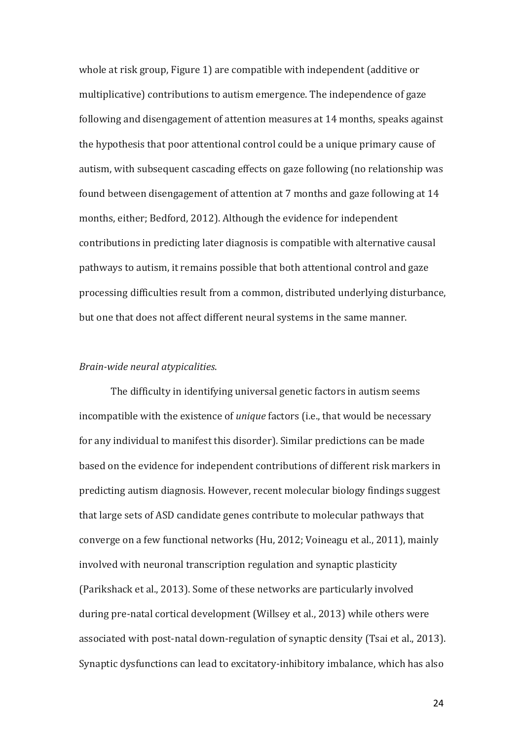whole at risk group, Figure 1) are compatible with independent (additive or multiplicative) contributions to autism emergence. The independence of gaze following and disengagement of attention measures at 14 months, speaks against the hypothesis that poor attentional control could be a unique primary cause of autism, with subsequent cascading effects on gaze following (no relationship was found between disengagement of attention at 7 months and gaze following at 14 months, either; Bedford, 2012). Although the evidence for independent contributions in predicting later diagnosis is compatible with alternative causal pathways to autism, it remains possible that both attentional control and gaze processing difficulties result from a common, distributed underlying disturbance, but one that does not affect different neural systems in the same manner.

#### *Brain-wide neural atypicalities*.

The difficulty in identifying universal genetic factors in autism seems incompatible with the existence of *unique* factors (i.e., that would be necessary for any individual to manifest this disorder). Similar predictions can be made based on the evidence for independent contributions of different risk markers in predicting autism diagnosis. However, recent molecular biology findings suggest that large sets of ASD candidate genes contribute to molecular pathways that converge on a few functional networks (Hu, 2012; Voineagu et al., 2011), mainly involved with neuronal transcription regulation and synaptic plasticity (Parikshack et al., 2013). Some of these networks are particularly involved during pre-natal cortical development (Willsey et al., 2013) while others were associated with post-natal down-regulation of synaptic density (Tsai et al., 2013). Synaptic dysfunctions can lead to excitatory-inhibitory imbalance, which has also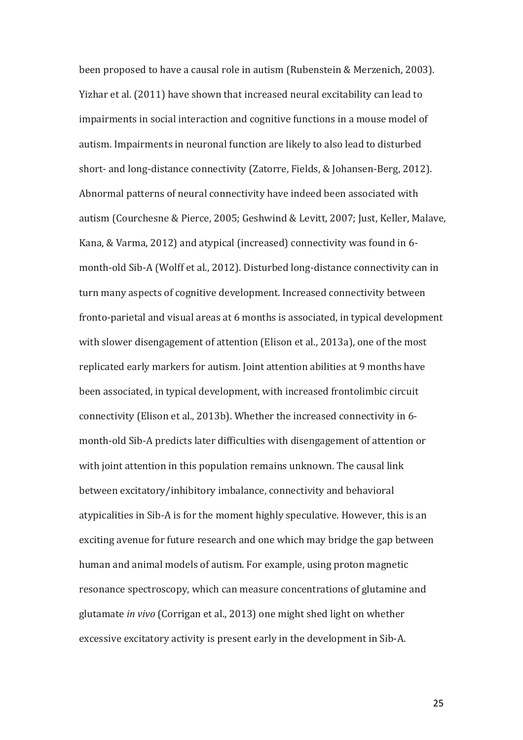been proposed to have a causal role in autism (Rubenstein & Merzenich, 2003). Yizhar et al. (2011) have shown that increased neural excitability can lead to impairments in social interaction and cognitive functions in a mouse model of autism. Impairments in neuronal function are likely to also lead to disturbed short- and long-distance connectivity (Zatorre, Fields, & Johansen-Berg, 2012). Abnormal patterns of neural connectivity have indeed been associated with autism (Courchesne & Pierce, 2005; Geshwind & Levitt, 2007; Just, Keller, Malave, Kana, & Varma, 2012) and atypical (increased) connectivity was found in 6month-old Sib-A (Wolff et al., 2012). Disturbed long-distance connectivity can in turn many aspects of cognitive development. Increased connectivity between fronto-parietal and visual areas at 6 months is associated, in typical development with slower disengagement of attention (Elison et al., 2013a), one of the most replicated early markers for autism. Joint attention abilities at 9 months have been associated, in typical development, with increased frontolimbic circuit connectivity (Elison et al., 2013b). Whether the increased connectivity in 6month-old Sib-A predicts later difficulties with disengagement of attention or with joint attention in this population remains unknown. The causal link between excitatory/inhibitory imbalance, connectivity and behavioral atypicalities in Sib-A is for the moment highly speculative. However, this is an exciting avenue for future research and one which may bridge the gap between human and animal models of autism. For example, using proton magnetic resonance spectroscopy, which can measure concentrations of glutamine and glutamate *in vivo* (Corrigan et al., 2013) one might shed light on whether excessive excitatory activity is present early in the development in Sib-A.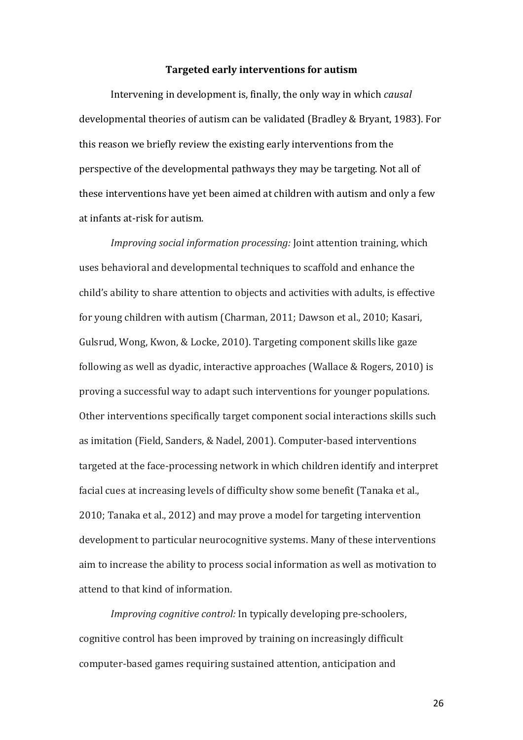#### **Targeted early interventions for autism**

Intervening in development is, finally, the only way in which *causal* developmental theories of autism can be validated (Bradley & Bryant, 1983). For this reason we briefly review the existing early interventions from the perspective of the developmental pathways they may be targeting. Not all of these interventions have yet been aimed at children with autism and only a few at infants at-risk for autism.

*Improving social information processing:* Joint attention training, which uses behavioral and developmental techniques to scaffold and enhance the child's ability to share attention to objects and activities with adults, is effective for young children with autism (Charman, 2011; Dawson et al., 2010; Kasari, Gulsrud, Wong, Kwon, & Locke, 2010). Targeting component skills like gaze following as well as dyadic, interactive approaches (Wallace & Rogers, 2010) is proving a successful way to adapt such interventions for younger populations. Other interventions specifically target component social interactions skills such as imitation (Field, Sanders, & Nadel, 2001). Computer-based interventions targeted at the face-processing network in which children identify and interpret facial cues at increasing levels of difficulty show some benefit (Tanaka et al., 2010; Tanaka et al., 2012) and may prove a model for targeting intervention development to particular neurocognitive systems. Many of these interventions aim to increase the ability to process social information as well as motivation to attend to that kind of information.

*Improving cognitive control:* In typically developing pre-schoolers, cognitive control has been improved by training on increasingly difficult computer-based games requiring sustained attention, anticipation and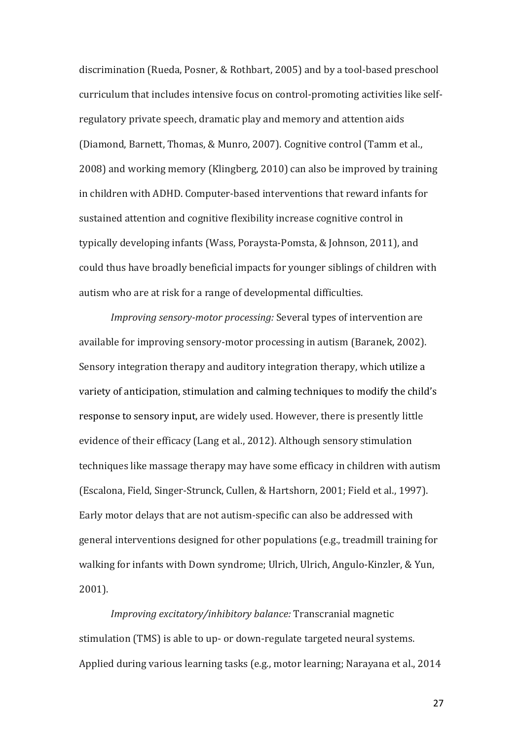discrimination (Rueda, Posner, & Rothbart, 2005) and by a tool-based preschool curriculum that includes intensive focus on control-promoting activities like selfregulatory private speech, dramatic play and memory and attention aids (Diamond, Barnett, Thomas, & Munro, 2007). Cognitive control (Tamm et al., 2008) and working memory (Klingberg, 2010) can also be improved by training in children with ADHD. Computer-based interventions that reward infants for sustained attention and cognitive flexibility increase cognitive control in typically developing infants (Wass, Poraysta-Pomsta, & Johnson, 2011), and could thus have broadly beneficial impacts for younger siblings of children with autism who are at risk for a range of developmental difficulties.

*Improving sensory-motor processing:* Several types of intervention are available for improving sensory-motor processing in autism (Baranek, 2002). Sensory integration therapy and auditory integration therapy, which utilize a variety of anticipation, stimulation and calming techniques to modify the child's response to sensory input, are widely used. However, there is presently little evidence of their efficacy (Lang et al., 2012). Although sensory stimulation techniques like massage therapy may have some efficacy in children with autism (Escalona, Field, Singer-Strunck, Cullen, & Hartshorn, 2001; Field et al., 1997). Early motor delays that are not autism-specific can also be addressed with general interventions designed for other populations (e.g., treadmill training for walking for infants with Down syndrome; Ulrich, Ulrich, Angulo-Kinzler, & Yun, 2001).

*Improving excitatory/inhibitory balance:* Transcranial magnetic stimulation (TMS) is able to up- or down-regulate targeted neural systems. Applied during various learning tasks  $(e.g., motor learning; Naravana et al., 2014)$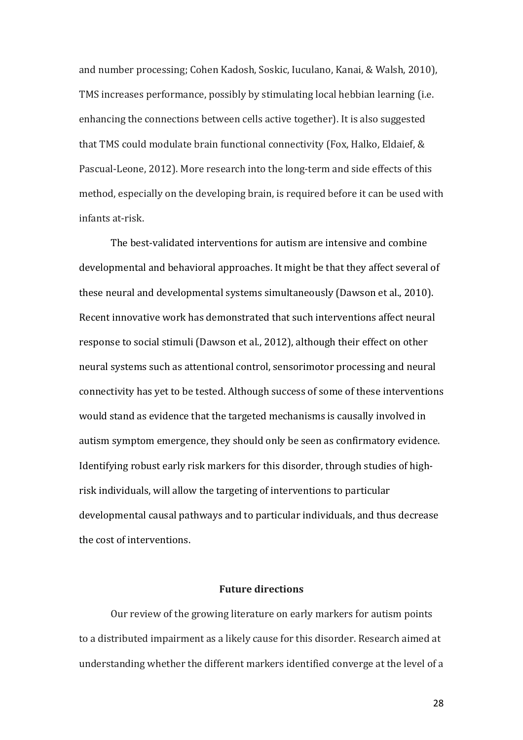and number processing; Cohen Kadosh, Soskic, Iuculano, Kanai, & Walsh, 2010), TMS increases performance, possibly by stimulating local hebbian learning (i.e. enhancing the connections between cells active together). It is also suggested that TMS could modulate brain functional connectivity (Fox, Halko, Eldaief, & Pascual-Leone, 2012). More research into the long-term and side effects of this method, especially on the developing brain, is required before it can be used with infants at-risk.

The best-validated interventions for autism are intensive and combine developmental and behavioral approaches. It might be that they affect several of these neural and developmental systems simultaneously (Dawson et al., 2010). Recent innovative work has demonstrated that such interventions affect neural response to social stimuli (Dawson et al., 2012), although their effect on other neural systems such as attentional control, sensorimotor processing and neural connectivity has yet to be tested. Although success of some of these interventions would stand as evidence that the targeted mechanisms is causally involved in autism symptom emergence, they should only be seen as confirmatory evidence. Identifying robust early risk markers for this disorder, through studies of highrisk individuals, will allow the targeting of interventions to particular developmental causal pathways and to particular individuals, and thus decrease the cost of interventions.

#### **Future directions**

Our review of the growing literature on early markers for autism points to a distributed impairment as a likely cause for this disorder. Research aimed at understanding whether the different markers identified converge at the level of a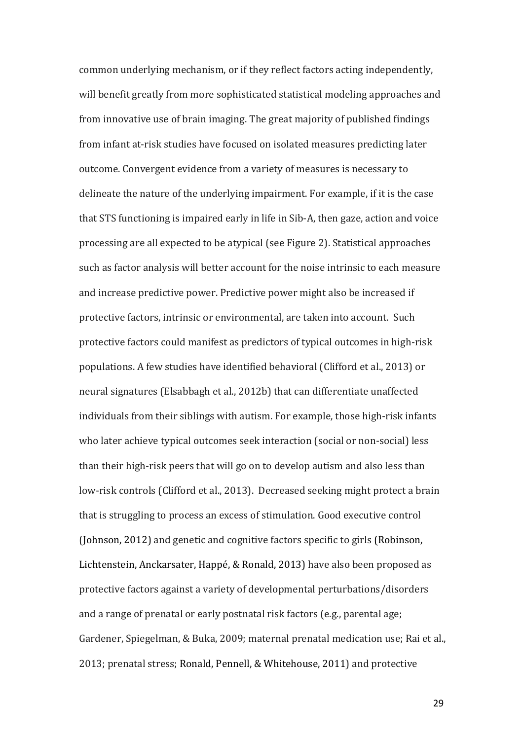common underlying mechanism, or if they reflect factors acting independently, will benefit greatly from more sophisticated statistical modeling approaches and from innovative use of brain imaging. The great majority of published findings from infant at-risk studies have focused on isolated measures predicting later outcome. Convergent evidence from a variety of measures is necessary to delineate the nature of the underlying impairment. For example, if it is the case that STS functioning is impaired early in life in Sib-A, then gaze, action and voice processing are all expected to be atypical (see Figure 2). Statistical approaches such as factor analysis will better account for the noise intrinsic to each measure and increase predictive power. Predictive power might also be increased if protective factors, intrinsic or environmental, are taken into account. Such protective factors could manifest as predictors of typical outcomes in high-risk populations. A few studies have identified behavioral (Clifford et al., 2013) or neural signatures (Elsabbagh et al., 2012b) that can differentiate unaffected individuals from their siblings with autism. For example, those high-risk infants who later achieve typical outcomes seek interaction (social or non-social) less than their high-risk peers that will go on to develop autism and also less than low-risk controls (Clifford et al., 2013). Decreased seeking might protect a brain that is struggling to process an excess of stimulation. Good executive control (Johnson, 2012) and genetic and cognitive factors specific to girls (Robinson, Lichtenstein, Anckarsater, Happé, & Ronald, 2013) have also been proposed as protective factors against a variety of developmental perturbations/disorders and a range of prenatal or early postnatal risk factors (e.g., parental age; Gardener, Spiegelman, & Buka, 2009; maternal prenatal medication use; Rai et al., 2013; prenatal stress; Ronald, Pennell, & Whitehouse, 2011) and protective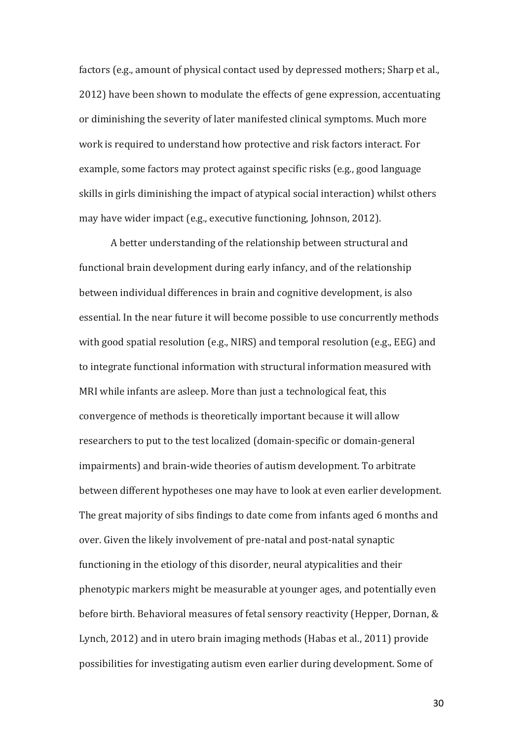factors (e.g., amount of physical contact used by depressed mothers; Sharp et al., 2012) have been shown to modulate the effects of gene expression, accentuating or diminishing the severity of later manifested clinical symptoms. Much more work is required to understand how protective and risk factors interact. For example, some factors may protect against specific risks (e.g., good language skills in girls diminishing the impact of atypical social interaction) whilst others may have wider impact (e.g., executive functioning, Johnson, 2012).

A better understanding of the relationship between structural and functional brain development during early infancy, and of the relationship between individual differences in brain and cognitive development, is also essential. In the near future it will become possible to use concurrently methods with good spatial resolution (e.g., NIRS) and temporal resolution (e.g., EEG) and to integrate functional information with structural information measured with MRI while infants are asleep. More than just a technological feat, this convergence of methods is theoretically important because it will allow researchers to put to the test localized (domain-specific or domain-general impairments) and brain-wide theories of autism development. To arbitrate between different hypotheses one may have to look at even earlier development. The great majority of sibs findings to date come from infants aged 6 months and over. Given the likely involvement of pre-natal and post-natal synaptic functioning in the etiology of this disorder, neural atypicalities and their phenotypic markers might be measurable at younger ages, and potentially even before birth. Behavioral measures of fetal sensory reactivity (Hepper, Dornan, & Lynch, 2012) and in utero brain imaging methods (Habas et al., 2011) provide possibilities for investigating autism even earlier during development. Some of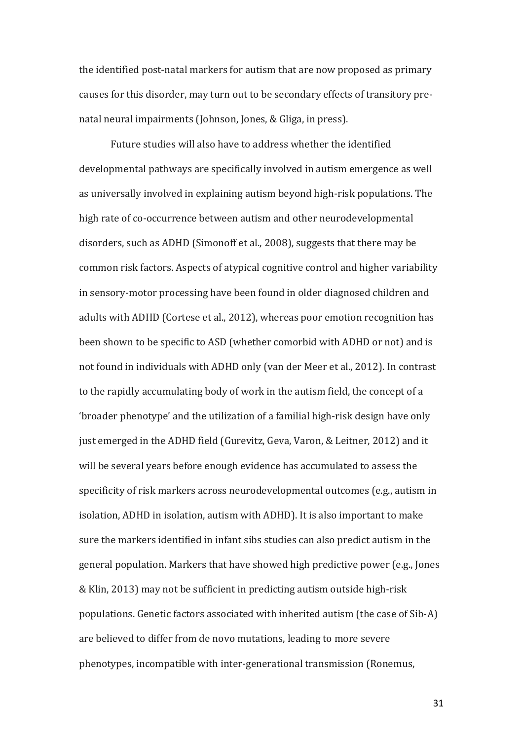the identified post-natal markers for autism that are now proposed as primary causes for this disorder, may turn out to be secondary effects of transitory prenatal neural impairments (Johnson, Jones, & Gliga, in press).

Future studies will also have to address whether the identified developmental pathways are specifically involved in autism emergence as well as universally involved in explaining autism beyond high-risk populations. The high rate of co-occurrence between autism and other neurodevelopmental disorders, such as ADHD (Simonoff et al., 2008), suggests that there may be common risk factors. Aspects of atypical cognitive control and higher variability in sensory-motor processing have been found in older diagnosed children and adults with ADHD (Cortese et al., 2012), whereas poor emotion recognition has been shown to be specific to ASD (whether comorbid with ADHD or not) and is not found in individuals with ADHD only (van der Meer et al., 2012). In contrast to the rapidly accumulating body of work in the autism field, the concept of a 'broader phenotype' and the utilization of a familial high-risk design have only just emerged in the ADHD field (Gurevitz, Geva, Varon, & Leitner, 2012) and it will be several years before enough evidence has accumulated to assess the specificity of risk markers across neurodevelopmental outcomes (e.g., autism in isolation, ADHD in isolation, autism with ADHD). It is also important to make sure the markers identified in infant sibs studies can also predict autism in the general population. Markers that have showed high predictive power (e.g., Jones & Klin, 2013) may not be sufficient in predicting autism outside high-risk populations. Genetic factors associated with inherited autism (the case of Sib-A) are believed to differ from de novo mutations, leading to more severe phenotypes, incompatible with inter-generational transmission (Ronemus,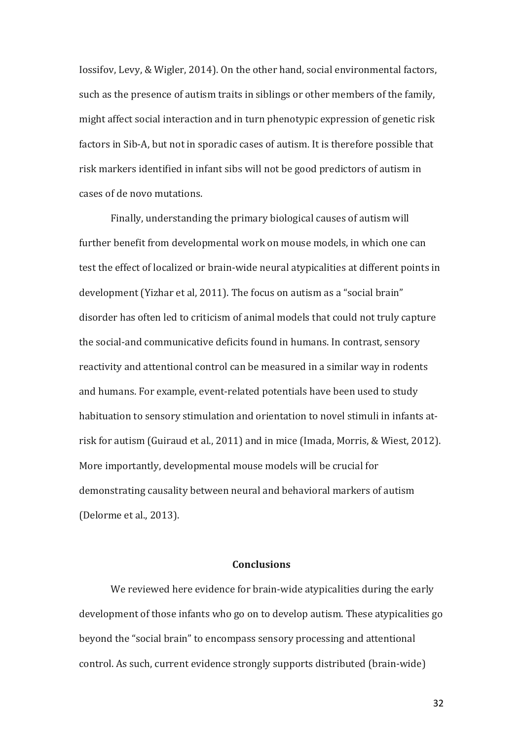Iossifov, Levy, & Wigler, 2014). On the other hand, social environmental factors, such as the presence of autism traits in siblings or other members of the family, might affect social interaction and in turn phenotypic expression of genetic risk factors in Sib-A, but not in sporadic cases of autism. It is therefore possible that risk markers identified in infant sibs will not be good predictors of autism in cases of de novo mutations.

Finally, understanding the primary biological causes of autism will further benefit from developmental work on mouse models, in which one can test the effect of localized or brain-wide neural atypicalities at different points in development (Yizhar et al, 2011). The focus on autism as a "social brain" disorder has often led to criticism of animal models that could not truly capture the social-and communicative deficits found in humans. In contrast, sensory reactivity and attentional control can be measured in a similar way in rodents and humans. For example, event-related potentials have been used to study habituation to sensory stimulation and orientation to novel stimuli in infants atrisk for autism (Guiraud et al., 2011) and in mice (Imada, Morris, & Wiest, 2012). More importantly, developmental mouse models will be crucial for demonstrating causality between neural and behavioral markers of autism (Delorme et al., 2013).

# **Conclusions**

We reviewed here evidence for brain-wide atypicalities during the early development of those infants who go on to develop autism. These atypicalities go beyond the "social brain" to encompass sensory processing and attentional control. As such, current evidence strongly supports distributed (brain-wide)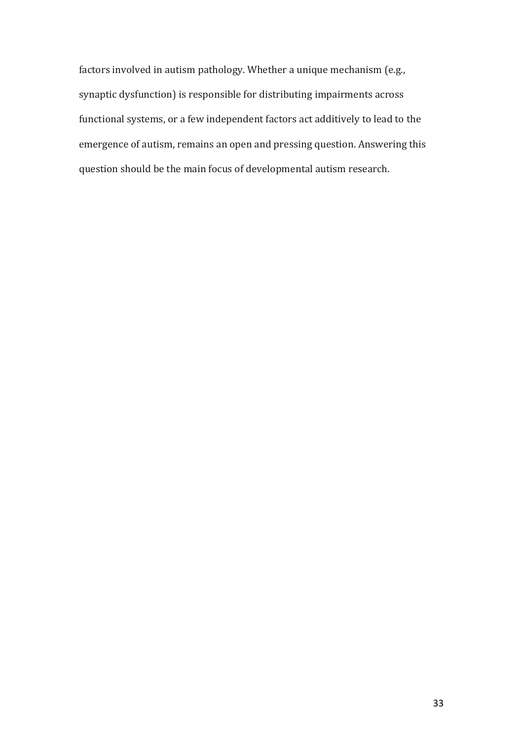factors involved in autism pathology. Whether a unique mechanism (e.g., synaptic dysfunction) is responsible for distributing impairments across functional systems, or a few independent factors act additively to lead to the emergence of autism, remains an open and pressing question. Answering this question should be the main focus of developmental autism research.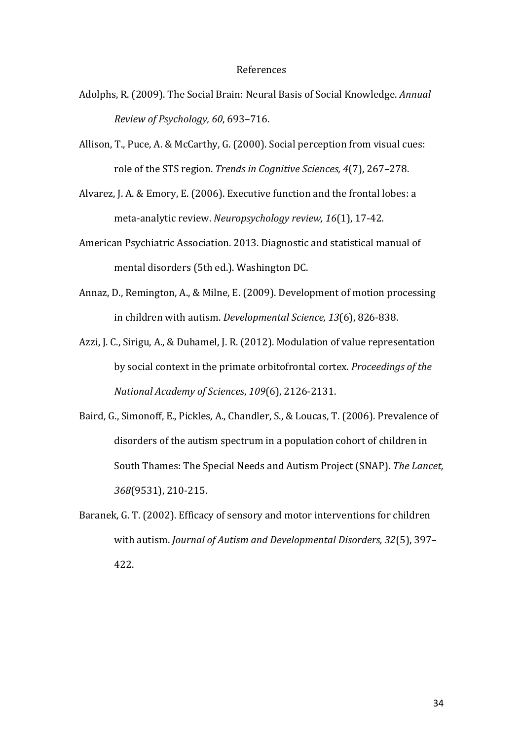#### References

- Adolphs, R. (2009). The Social Brain: Neural Basis of Social Knowledge. *Annual Review of Psychology, 60*, 693–716.
- Allison, T., Puce, A. & McCarthy, G. (2000). Social perception from visual cues: role of the STS region. *Trends in Cognitive Sciences, 4*(7), 267–278.
- Alvarez, J. A. & Emory, E. (2006). Executive function and the frontal lobes: a meta-analytic review. *Neuropsychology review, 16*(1), 17-42.
- American Psychiatric Association. 2013. Diagnostic and statistical manual of mental disorders (5th ed.). Washington DC.
- Annaz, D., Remington, A., & Milne, E. (2009). Development of motion processing in children with autism. *Developmental Science*, 13(6), 826-838.
- Azzi, J. C., Sirigu, A., & Duhamel, J. R. (2012). Modulation of value representation by social context in the primate orbitofrontal cortex. *Proceedings of the National Academy of Sciences*, *109*(6), 2126-2131.
- Baird, G., Simonoff, E., Pickles, A., Chandler, S., & Loucas, T. (2006). Prevalence of disorders of the autism spectrum in a population cohort of children in South Thames: The Special Needs and Autism Project (SNAP). The Lancet, *368*(9531), 210-215.
- Baranek, G. T. (2002). Efficacy of sensory and motor interventions for children with autism. *Journal of Autism and Developmental Disorders, 32(5), 397-*422.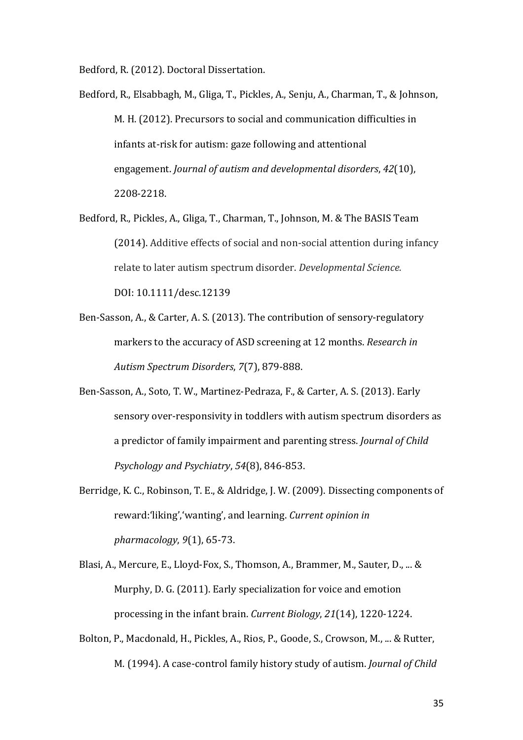Bedford, R. (2012). Doctoral Dissertation.

- Bedford, R., Elsabbagh, M., Gliga, T., Pickles, A., Senju, A., Charman, T., & Johnson, M. H. (2012). Precursors to social and communication difficulties in infants at-risk for autism: gaze following and attentional engagement. *Journal of autism and developmental disorders*, 42(10), 2208-2218.
- Bedford, R., Pickles, A., Gliga, T., Charman, T., Johnson, M. & The BASIS Team (2014). Additive effects of social and non-social attention during infancy relate to later autism spectrum disorder. *Developmental Science.* DOI: 10.1111/desc.12139
- Ben-Sasson, A., & Carter, A. S. (2013). The contribution of sensory-regulatory markers to the accuracy of ASD screening at 12 months. *Research in Autism Spectrum Disorders*, *7*(7), 879-888.
- Ben-Sasson, A., Soto, T. W., Martinez-Pedraza, F., & Carter, A. S. (2013). Early sensory over-responsivity in toddlers with autism spectrum disorders as a predictor of family impairment and parenting stress. *Journal of Child Psychology and Psychiatry*, *54*(8), 846-853.
- Berridge, K. C., Robinson, T. E., & Aldridge, J. W. (2009). Dissecting components of reward:'liking','wanting', and learning. *Current opinion in pharmacology*, *9*(1), 65-73.
- Blasi, A., Mercure, E., Lloyd-Fox, S., Thomson, A., Brammer, M., Sauter, D., ... & Murphy, D. G. (2011). Early specialization for voice and emotion processing in the infant brain. *Current Biology*, 21(14), 1220-1224.
- Bolton, P., Macdonald, H., Pickles, A., Rios, P., Goode, S., Crowson, M., ... & Rutter, M. (1994). A case-control family history study of autism. *Journal of Child*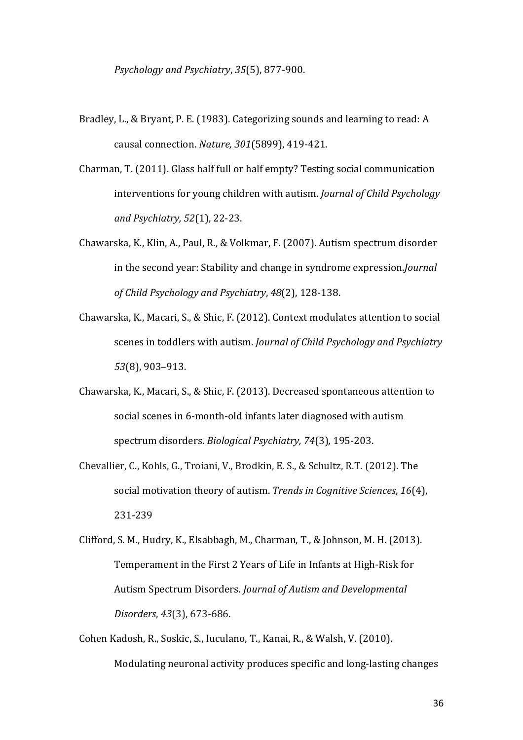- Bradley, L., & Bryant, P. E. (1983). Categorizing sounds and learning to read: A causal connection. *Nature, 301*(5899), 419-421.
- Charman, T. (2011). Glass half full or half empty? Testing social communication interventions for young children with autism. *Journal of Child Psychology and Psychiatry, 52*(1), 22-23.
- Chawarska, K., Klin, A., Paul, R., & Volkmar, F. (2007). Autism spectrum disorder in the second year: Stability and change in syndrome expression.*Journal of Child Psychology and Psychiatry*, *48*(2), 128-138.
- Chawarska, K., Macari, S., & Shic, F. (2012). Context modulates attention to social scenes in toddlers with autism. *Journal of Child Psychology and Psychiatry 53*(8), 903–913.
- Chawarska, K., Macari, S., & Shic, F. (2013). Decreased spontaneous attention to social scenes in 6-month-old infants later diagnosed with autism spectrum disorders. *Biological Psychiatry, 74*(3), 195-203.
- Chevallier, C., Kohls, G., Troiani, V., Brodkin, E. S., & Schultz, R.T. (2012). The social motivation theory of autism. *Trends in Cognitive Sciences*, 16(4), 231-239
- Clifford, S. M., Hudry, K., Elsabbagh, M., Charman, T., & Johnson, M. H. (2013). Temperament in the First 2 Years of Life in Infants at High-Risk for Autism Spectrum Disorders. *Journal of Autism and Developmental Disorders*, *43*(3), 673-686.
- Cohen Kadosh, R., Soskic, S., Iuculano, T., Kanai, R., & Walsh, V. (2010). Modulating neuronal activity produces specific and long-lasting changes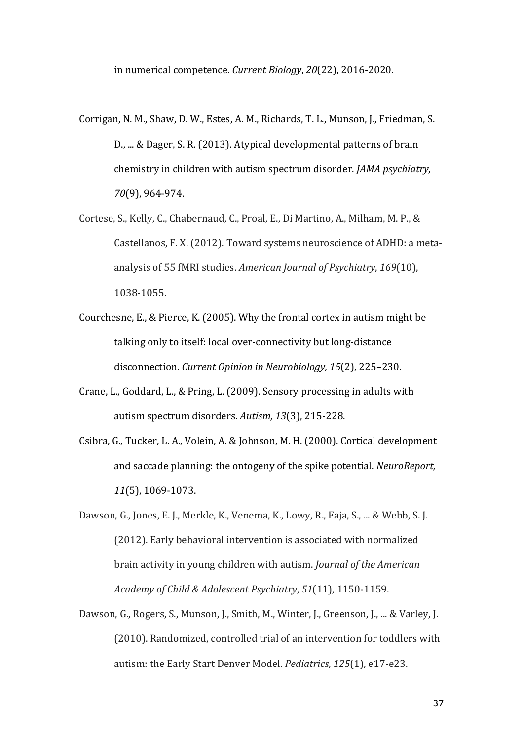- Corrigan, N. M., Shaw, D. W., Estes, A. M., Richards, T. L., Munson, J., Friedman, S. D., ... & Dager, S. R. (2013). Atypical developmental patterns of brain chemistry in children with autism spectrum disorder. *JAMA psychiatry*, *70*(9), 964-974.
- Cortese, S., Kelly, C., Chabernaud, C., Proal, E., Di Martino, A., Milham, M. P., & Castellanos, F. X. (2012). Toward systems neuroscience of ADHD: a metaanalysis of 55 fMRI studies. *American Journal of Psychiatry*, 169(10), 1038-1055.
- Courchesne, E., & Pierce, K. (2005). Why the frontal cortex in autism might be talking only to itself: local over-connectivity but long-distance disconnection. *Current Opinion in Neurobiology, 15*(2), 225-230.
- Crane, L., Goddard, L., & Pring, L. (2009). Sensory processing in adults with autism spectrum disorders. Autism, 13(3), 215-228.
- Csibra, G., Tucker, L. A., Volein, A. & Johnson, M. H. (2000). Cortical development and saccade planning: the ontogeny of the spike potential. *NeuroReport*, 11(5), 1069-1073.
- Dawson, G., Jones, E. J., Merkle, K., Venema, K., Lowy, R., Faja, S., ... & Webb, S. J. (2012). Early behavioral intervention is associated with normalized brain activity in young children with autism. *Journal of the American Academy of Child & Adolescent Psychiatry*, *51*(11), 1150-1159.
- Dawson, G., Rogers, S., Munson, J., Smith, M., Winter, J., Greenson, J., ... & Varley, J. (2010). Randomized, controlled trial of an intervention for toddlers with autism: the Early Start Denver Model. *Pediatrics*, 125(1), e17-e23.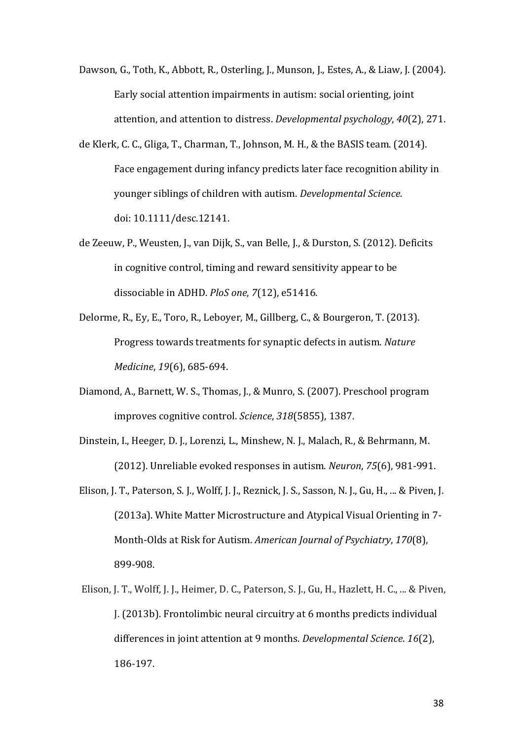- Dawson, G., Toth, K., Abbott, R., Osterling, J., Munson, J., Estes, A., & Liaw, J. (2004). Early social attention impairments in autism: social orienting, joint attention, and attention to distress. *Developmental psychology*, 40(2), 271.
- de Klerk, C. C., Gliga, T., Charman, T., Johnson, M. H., & the BASIS team. (2014). Face engagement during infancy predicts later face recognition ability in younger siblings of children with autism. *Developmental Science*. doi: 10.1111/desc.12141.
- de Zeeuw, P., Weusten, J., van Dijk, S., van Belle, J., & Durston, S. (2012). Deficits in cognitive control, timing and reward sensitivity appear to be dissociable in ADHD. *PloS one*, *7*(12), e51416.
- Delorme, R., Ey, E., Toro, R., Leboyer, M., Gillberg, C., & Bourgeron, T. (2013). Progress towards treatments for synaptic defects in autism. *Nature Medicine*, 19(6), 685-694.
- Diamond, A., Barnett, W. S., Thomas, J., & Munro, S. (2007). Preschool program improves cognitive control. *Science*, 318(5855), 1387.
- Dinstein, I., Heeger, D. J., Lorenzi, L., Minshew, N. J., Malach, R., & Behrmann, M. (2012). Unreliable evoked responses in autism. *Neuron*, *75*(6), 981-991.
- Elison, J. T., Paterson, S. J., Wolff, J. J., Reznick, J. S., Sasson, N. J., Gu, H., ... & Piven, J. (2013a). White Matter Microstructure and Atypical Visual Orienting in 7-Month-Olds at Risk for Autism. *American Journal of Psychiatry*, 170(8), 899-908.
- Elison, J. T., Wolff, J. J., Heimer, D. C., Paterson, S. J., Gu, H., Hazlett, H. C., ... & Piven, J. (2013b). Frontolimbic neural circuitry at 6 months predicts individual differences in joint attention at 9 months. *Developmental Science*. 16(2), 186-197.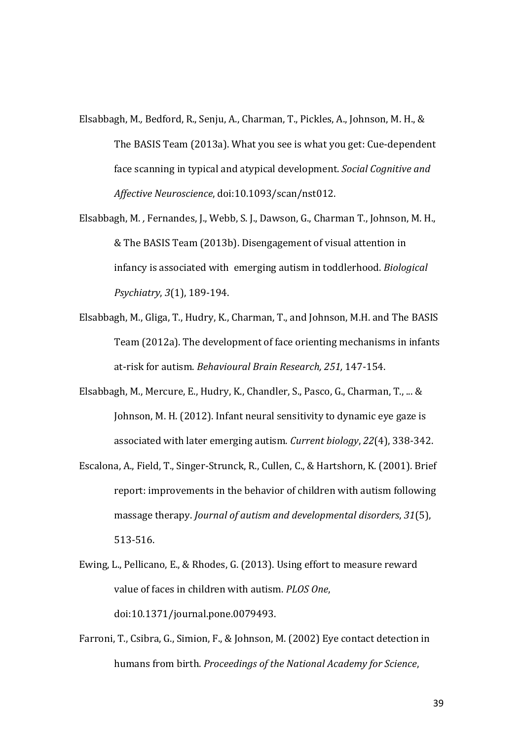- Elsabbagh, M., Bedford, R., Senju, A., Charman, T., Pickles, A., Johnson, M. H., & The BASIS Team (2013a). What you see is what you get: Cue-dependent face scanning in typical and atypical development. *Social Cognitive and Affective Neuroscience*, doi:10.1093/scan/nst012.
- Elsabbagh, M., Fernandes, J., Webb, S. J., Dawson, G., Charman T., Johnson, M. H., & The BASIS Team (2013b). Disengagement of visual attention in infancy is associated with emerging autism in toddlerhood. *Biological Psychiatry*, *3*(1), 189-194.
- Elsabbagh, M., Gliga, T., Hudry, K., Charman, T., and Johnson, M.H. and The BASIS Team (2012a). The development of face orienting mechanisms in infants at-risk for autism. *Behavioural Brain Research, 251,* 147-154.
- Elsabbagh, M., Mercure, E., Hudry, K., Chandler, S., Pasco, G., Charman, T., ... & Johnson, M. H. (2012). Infant neural sensitivity to dynamic eye gaze is associated with later emerging autism. *Current biology*, 22(4), 338-342.
- Escalona, A., Field, T., Singer-Strunck, R., Cullen, C., & Hartshorn, K. (2001). Brief report: improvements in the behavior of children with autism following massage therapy. *Journal of autism and developmental disorders*, 31(5), 513-516.
- Ewing, L., Pellicano, E., & Rhodes, G. (2013). Using effort to measure reward value of faces in children with autism. *PLOS One*, doi:10.1371/journal.pone.0079493.
- Farroni, T., Csibra, G., Simion, F., & Johnson, M. (2002) Eye contact detection in humans from birth. *Proceedings of the National Academy for Science*,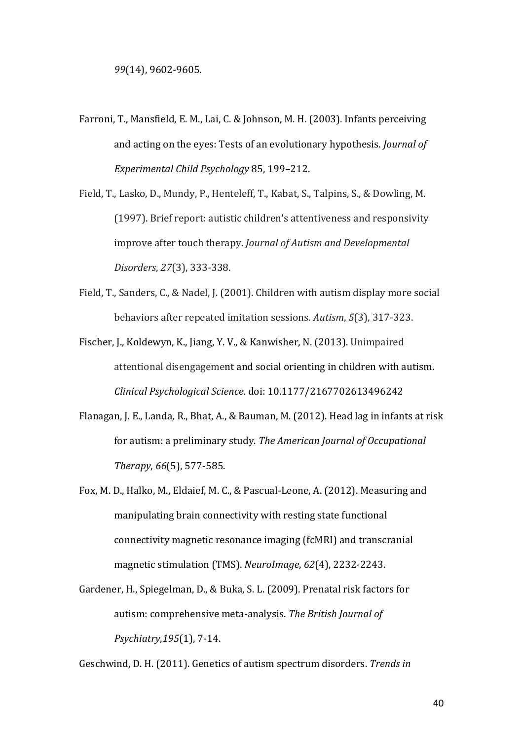- Farroni, T., Mansfield, E. M., Lai, C. & Johnson, M. H. (2003). Infants perceiving and acting on the eyes: Tests of an evolutionary hypothesis. *Journal of Experimental Child Psychology* 85, 199–212.
- Field, T., Lasko, D., Mundy, P., Henteleff, T., Kabat, S., Talpins, S., & Dowling, M. (1997). Brief report: autistic children's attentiveness and responsivity improve after touch therapy. *Journal of Autism and Developmental Disorders*, *27*(3), 333-338.
- Field, T., Sanders, C., & Nadel, J. (2001). Children with autism display more social behaviors after repeated imitation sessions. Autism, 5(3), 317-323.
- Fischer, J., Koldewyn, K., Jiang, Y. V., & Kanwisher, N. (2013). Unimpaired attentional disengagement and social orienting in children with autism. *Clinical Psychological Science*. doi: 10.1177/2167702613496242
- Flanagan, J. E., Landa, R., Bhat, A., & Bauman, M. (2012). Head lag in infants at risk for autism: a preliminary study. The American Journal of Occupational *Therapy*, *66*(5), 577-585.
- Fox, M. D., Halko, M., Eldaief, M. C., & Pascual-Leone, A. (2012). Measuring and manipulating brain connectivity with resting state functional connectivity magnetic resonance imaging (fcMRI) and transcranial magnetic stimulation (TMS). *NeuroImage*, *62*(4), 2232-2243.
- Gardener, H., Spiegelman, D., & Buka, S. L. (2009). Prenatal risk factors for autism: comprehensive meta-analysis. The British Journal of *Psychiatry*,*195*(1), 7-14.

Geschwind, D. H. (2011). Genetics of autism spectrum disorders. *Trends in*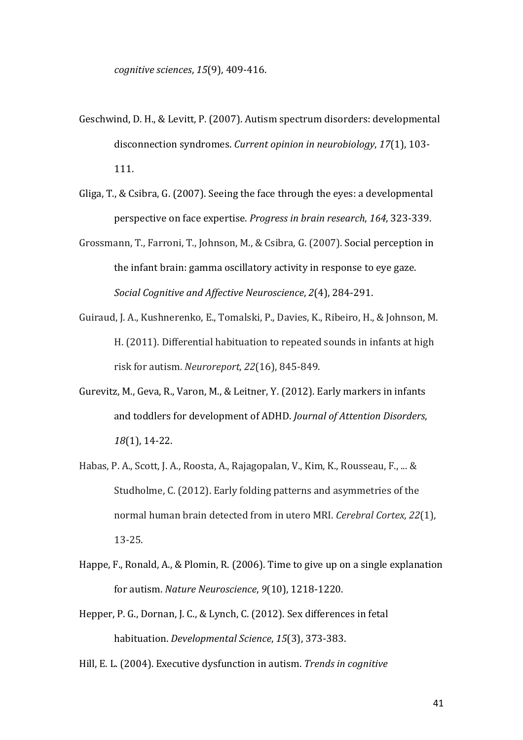- Geschwind, D. H., & Levitt, P. (2007). Autism spectrum disorders: developmental disconnection syndromes. *Current opinion in neurobiology*, 17(1), 103-111.
- Gliga, T., & Csibra, G. (2007). Seeing the face through the eyes: a developmental perspective on face expertise. *Progress in brain research*, 164, 323-339.
- Grossmann, T., Farroni, T., Johnson, M., & Csibra, G. (2007). Social perception in the infant brain: gamma oscillatory activity in response to eye gaze. *Social Cognitive and Affective Neuroscience,* 2(4), 284-291.
- Guiraud, J. A., Kushnerenko, E., Tomalski, P., Davies, K., Ribeiro, H., & Johnson, M. H. (2011). Differential habituation to repeated sounds in infants at high risk for autism. *Neuroreport*, *22*(16), 845-849.
- Gurevitz, M., Geva, R., Varon, M., & Leitner, Y. (2012). Early markers in infants and toddlers for development of ADHD. *Journal of Attention Disorders*, *18*(1), 14-22.
- Habas, P. A., Scott, J. A., Roosta, A., Rajagopalan, V., Kim, K., Rousseau, F., ... & Studholme, C. (2012). Early folding patterns and asymmetries of the normal human brain detected from in utero MRI. *Cerebral Cortex*, 22(1), 13-25.
- Happe, F., Ronald, A., & Plomin, R. (2006). Time to give up on a single explanation for autism. *Nature Neuroscience*,  $9(10)$ , 1218-1220.
- Hepper, P. G., Dornan, J. C., & Lynch, C. (2012). Sex differences in fetal habituation. *Developmental Science*, 15(3), 373-383.
- Hill, E. L. (2004). Executive dysfunction in autism. *Trends in cognitive*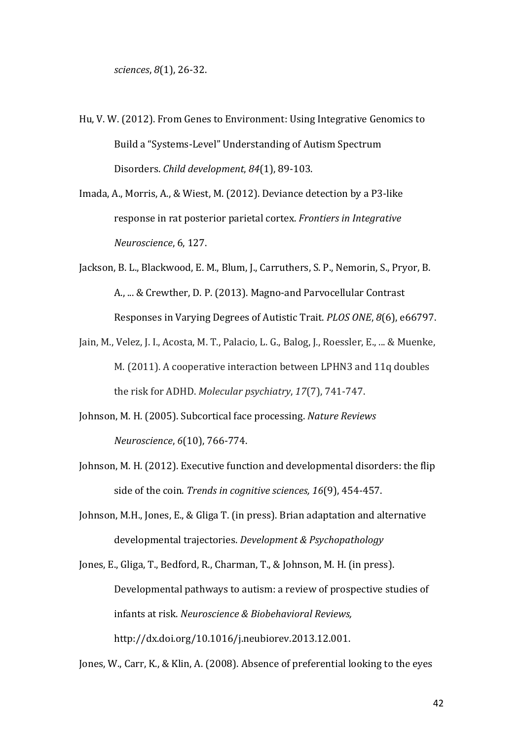- Hu, V. W. (2012). From Genes to Environment: Using Integrative Genomics to Build a "Systems-Level" Understanding of Autism Spectrum Disorders. *Child development*, 84(1), 89-103.
- Imada, A., Morris, A., & Wiest, M. (2012). Deviance detection by a P3-like response in rat posterior parietal cortex. *Frontiers in Integrative Neuroscience*, 6, 127.
- Jackson, B. L., Blackwood, E. M., Blum, J., Carruthers, S. P., Nemorin, S., Pryor, B. A., ... & Crewther, D. P. (2013). Magno-and Parvocellular Contrast Responses in Varying Degrees of Autistic Trait. *PLOS ONE*,  $8(6)$ , e66797.
- Jain, M., Velez, J. J., Acosta, M. T., Palacio, L. G., Balog, J., Roessler, E., .., & Muenke, M. (2011). A cooperative interaction between LPHN3 and 11q doubles the risk for ADHD. *Molecular psychiatry*, 17(7), 741-747.
- Johnson, M. H. (2005). Subcortical face processing. *Nature Reviews Neuroscience*, *6*(10), 766-774.
- Johnson, M. H. (2012). Executive function and developmental disorders: the flip side of the coin. *Trends in cognitive sciences*, 16(9), 454-457.
- Johnson, M.H., Jones, E., & Gliga T. (in press). Brian adaptation and alternative developmental trajectories. *Development & Psychopathology*

Jones, E., Gliga, T., Bedford, R., Charman, T., & Johnson, M. H. (in press). Developmental pathways to autism: a review of prospective studies of infants at risk. *Neuroscience & Biobehavioral Reviews*, http://dx.doi.org/10.1016/j.neubiorev.2013.12.001.

Jones, W., Carr, K., & Klin, A. (2008). Absence of preferential looking to the eyes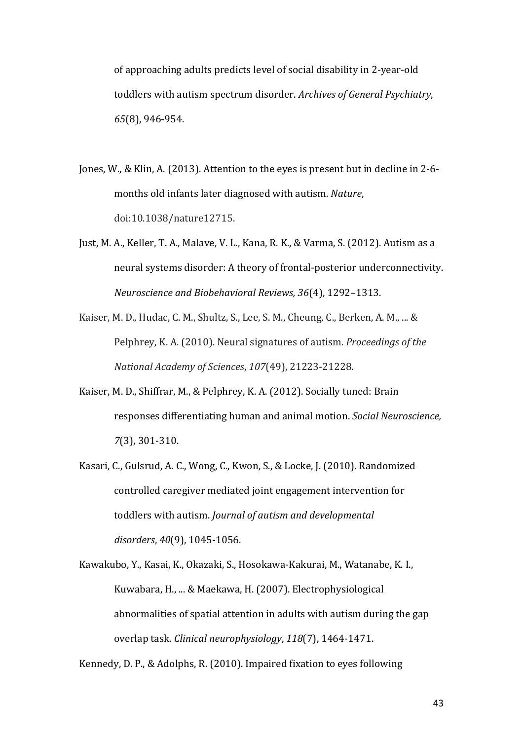of approaching adults predicts level of social disability in 2-year-old toddlers with autism spectrum disorder. *Archives of General Psychiatry*, *65*(8), 946-954.

- Jones, W., & Klin, A. (2013). Attention to the eyes is present but in decline in 2-6months old infants later diagnosed with autism. *Nature*, doi:10.1038/nature12715.
- Just, M. A., Keller, T. A., Malave, V. L., Kana, R. K., & Varma, S. (2012). Autism as a neural systems disorder: A theory of frontal-posterior underconnectivity. *Neuroscience and Biobehavioral Reviews, 36*(4), 1292–1313.
- Kaiser, M. D., Hudac, C. M., Shultz, S., Lee, S. M., Cheung, C., Berken, A. M., ... & Pelphrey, K. A. (2010). Neural signatures of autism. *Proceedings of the National Academy of Sciences*, *107*(49), 21223-21228.
- Kaiser, M. D., Shiffrar, M., & Pelphrey, K. A. (2012). Socially tuned: Brain responses differentiating human and animal motion. *Social Neuroscience*, *7*(3), 301-310.
- Kasari, C., Gulsrud, A. C., Wong, C., Kwon, S., & Locke, J. (2010). Randomized controlled caregiver mediated joint engagement intervention for toddlers with autism. *Journal of autism and developmental disorders*, *40*(9), 1045-1056.

Kawakubo, Y., Kasai, K., Okazaki, S., Hosokawa-Kakurai, M., Watanabe, K. I., Kuwabara, H., ... & Maekawa, H. (2007). Electrophysiological abnormalities of spatial attention in adults with autism during the gap overlap task. *Clinical neurophysiology*, 118(7), 1464-1471.

Kennedy, D. P., & Adolphs, R. (2010). Impaired fixation to eyes following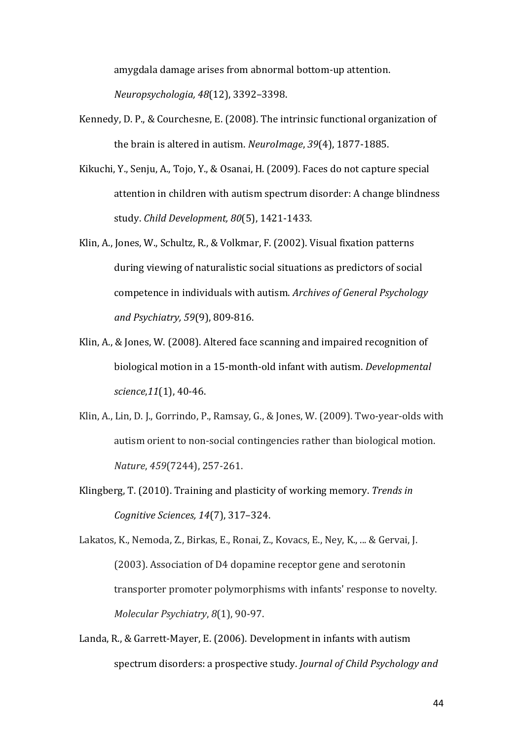amygdala damage arises from abnormal bottom-up attention. *Neuropsychologia, 48*(12), 3392–3398.

- Kennedy, D. P., & Courchesne, E. (2008). The intrinsic functional organization of the brain is altered in autism. *NeuroImage*, 39(4), 1877-1885.
- Kikuchi, Y., Senju, A., Tojo, Y., & Osanai, H. (2009). Faces do not capture special attention in children with autism spectrum disorder: A change blindness study. *Child Development, 80*(5), 1421-1433.
- Klin, A., Jones, W., Schultz, R., & Volkmar, F. (2002). Visual fixation patterns during viewing of naturalistic social situations as predictors of social competence in individuals with autism. *Archives of General Psychology and Psychiatry, 59*(9), 809-816.
- Klin, A., & Jones, W. (2008). Altered face scanning and impaired recognition of biological motion in a 15-month-old infant with autism. *Developmental science*, 11(1), 40-46.
- Klin, A., Lin, D. J., Gorrindo, P., Ramsay, G., & Jones, W. (2009). Two-year-olds with autism orient to non-social contingencies rather than biological motion. *Nature*, *459*(7244), 257-261.
- Klingberg, T. (2010). Training and plasticity of working memory. *Trends in Cognitive Sciences, 14*(7), 317–324.

Lakatos, K., Nemoda, Z., Birkas, E., Ronai, Z., Kovacs, E., Ney, K., ... & Gervai, J. (2003). Association of D4 dopamine receptor gene and serotonin transporter promoter polymorphisms with infants' response to novelty. *Molecular Psychiatry, 8*(1), 90-97.

Landa, R., & Garrett-Mayer, E. (2006). Development in infants with autism spectrum disorders: a prospective study. *Journal of Child Psychology and*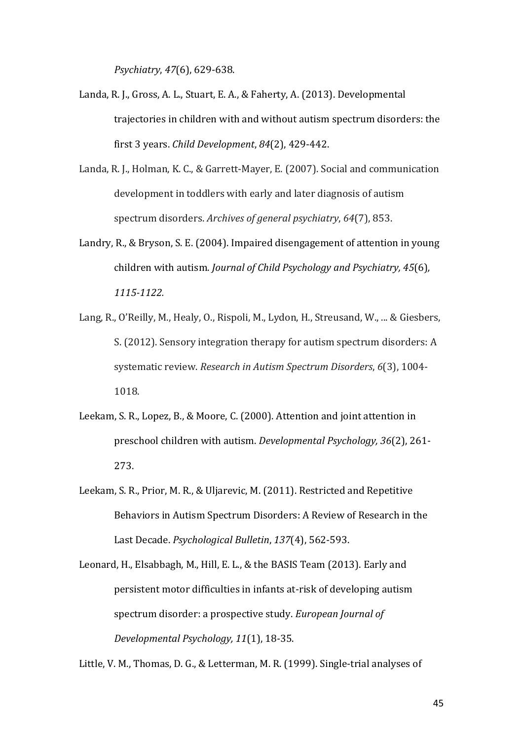*Psychiatry*, *47*(6), 629-638.

- Landa, R. J., Gross, A. L., Stuart, E. A., & Faherty, A. (2013). Developmental trajectories in children with and without autism spectrum disorders: the first 3 years. *Child Development*, *84*(2), 429-442.
- Landa, R. J., Holman, K. C., & Garrett-Mayer, E. (2007). Social and communication development in toddlers with early and later diagnosis of autism spectrum disorders. *Archives of general psychiatry*, 64(7), 853.
- Landry, R., & Bryson, S. E. (2004). Impaired disengagement of attention in young children with autism. *Journal of Child Psychology and Psychiatry, 45*(6), *1115-1122.*
- Lang, R., O'Reilly, M., Healy, O., Rispoli, M., Lydon, H., Streusand, W., ... & Giesbers, S. (2012). Sensory integration therapy for autism spectrum disorders: A systematic review. *Research in Autism Spectrum Disorders*, 6(3), 1004-1018.
- Leekam, S. R., Lopez, B., & Moore, C. (2000). Attention and joint attention in preschool children with autism. *Developmental Psychology*, 36(2), 261-273.
- Leekam, S. R., Prior, M. R., & Uljarevic, M. (2011). Restricted and Repetitive Behaviors in Autism Spectrum Disorders: A Review of Research in the Last Decade. *Psychological Bulletin*, 137(4), 562-593.
- Leonard, H., Elsabbagh, M., Hill, E. L., & the BASIS Team (2013). Early and persistent motor difficulties in infants at-risk of developing autism spectrum disorder: a prospective study. *European Journal of Developmental Psychology, 11*(1), 18-35.

Little, V. M., Thomas, D. G., & Letterman, M. R. (1999). Single-trial analyses of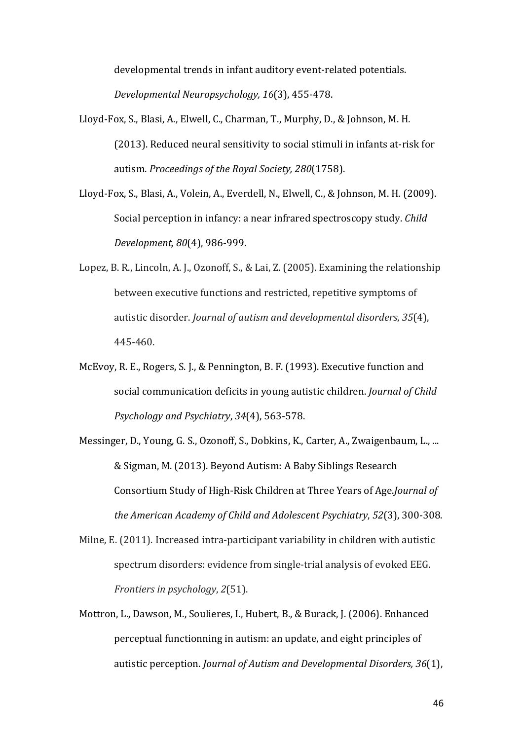developmental trends in infant auditory event-related potentials. *Developmental Neuropsychology, 16*(3), 455-478.

- Lloyd-Fox, S., Blasi, A., Elwell, C., Charman, T., Murphy, D., & Johnson, M. H. (2013). Reduced neural sensitivity to social stimuli in infants at-risk for autism. *Proceedings of the Royal Society, 280*(1758).
- Lloyd-Fox, S., Blasi, A., Volein, A., Everdell, N., Elwell, C., & Johnson, M. H. (2009). Social perception in infancy: a near infrared spectroscopy study. *Child Development, 80*(4), 986-999.
- Lopez, B. R., Lincoln, A. J., Ozonoff, S., & Lai, Z. (2005). Examining the relationship between executive functions and restricted, repetitive symptoms of autistic disorder. *Journal of autism and developmental disorders*, 35(4), 445-460.
- McEvoy, R. E., Rogers, S. J., & Pennington, B. F. (1993). Executive function and social communication deficits in young autistic children. *Journal of Child Psychology and Psychiatry*, *34*(4), 563-578.
- Messinger, D., Young, G. S., Ozonoff, S., Dobkins, K., Carter, A., Zwaigenbaum, L., ... & Sigman, M. (2013). Beyond Autism: A Baby Siblings Research Consortium Study of High-Risk Children at Three Years of Age.*Journal of the American Academy of Child and Adolescent Psychiatry, 52(3), 300-308.*
- Milne, E. (2011). Increased intra-participant variability in children with autistic spectrum disorders: evidence from single-trial analysis of evoked EEG. *Frontiers in psychology, 2(51).*
- Mottron, L., Dawson, M., Soulieres, I., Hubert, B., & Burack, J. (2006). Enhanced perceptual functionning in autism: an update, and eight principles of autistic perception. *Journal of Autism and Developmental Disorders, 36*(1),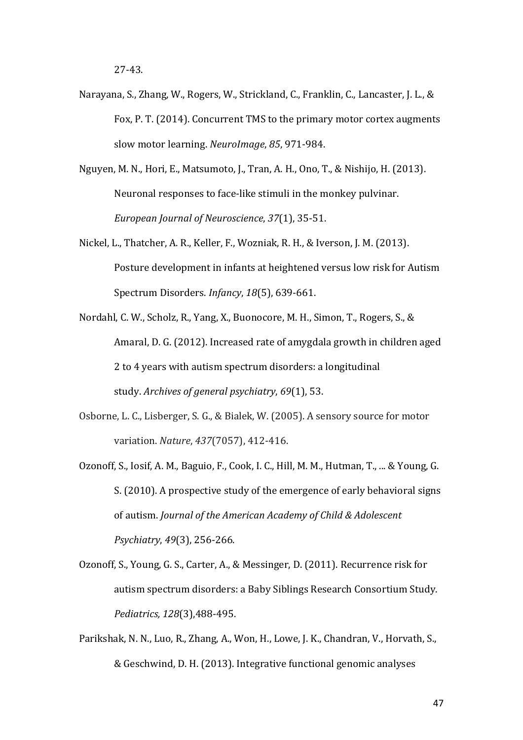- Narayana, S., Zhang, W., Rogers, W., Strickland, C., Franklin, C., Lancaster, J. L., & Fox, P. T. (2014). Concurrent TMS to the primary motor cortex augments slow motor learning. *NeuroImage*, 85, 971-984.
- Nguyen, M. N., Hori, E., Matsumoto, J., Tran, A. H., Ono, T., & Nishijo, H. (2013). Neuronal responses to face-like stimuli in the monkey pulvinar. *European Journal of Neuroscience*, *37*(1), 35-51.
- Nickel, L., Thatcher, A. R., Keller, F., Wozniak, R. H., & Iverson, J. M. (2013). Posture development in infants at heightened versus low risk for Autism Spectrum Disorders. *Infancy*, *18*(5), 639-661.
- Nordahl, C. W., Scholz, R., Yang, X., Buonocore, M. H., Simon, T., Rogers, S., & Amaral, D. G. (2012). Increased rate of amygdala growth in children aged 2 to 4 years with autism spectrum disorders: a longitudinal study. Archives of general psychiatry, 69(1), 53.
- Osborne, L. C., Lisberger, S. G., & Bialek, W. (2005). A sensory source for motor variation. *Nature*, 437(7057), 412-416.
- Ozonoff, S., Iosif, A. M., Baguio, F., Cook, I. C., Hill, M. M., Hutman, T., ... & Young, G. S. (2010). A prospective study of the emergence of early behavioral signs of autism. *Journal of the American Academy of Child & Adolescent Psychiatry*, *49*(3), 256-266.
- Ozonoff, S., Young, G. S., Carter, A., & Messinger, D. (2011). Recurrence risk for autism spectrum disorders: a Baby Siblings Research Consortium Study. *Pediatrics, 128*(3),488-495.
- Parikshak, N. N., Luo, R., Zhang, A., Won, H., Lowe, J. K., Chandran, V., Horvath, S., & Geschwind, D. H. (2013). Integrative functional genomic analyses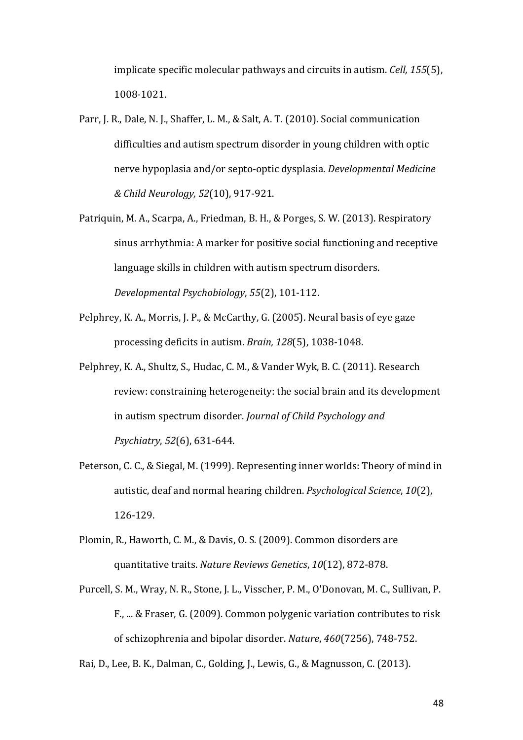implicate specific molecular pathways and circuits in autism. *Cell*, 155(5), 1008-1021.

- Parr, J. R., Dale, N. J., Shaffer, L. M., & Salt, A. T. (2010). Social communication difficulties and autism spectrum disorder in young children with optic nerve hypoplasia and/or septo-optic dysplasia. *Developmental Medicine & Child Neurology, 52*(10), 917-921.
- Patriquin, M. A., Scarpa, A., Friedman, B. H., & Porges, S. W. (2013). Respiratory sinus arrhythmia: A marker for positive social functioning and receptive language skills in children with autism spectrum disorders. *Developmental Psychobiology*, *55*(2), 101-112.
- Pelphrey, K. A., Morris, J. P., & McCarthy, G. (2005). Neural basis of eye gaze processing deficits in autism. *Brain*, 128(5), 1038-1048.
- Pelphrey, K. A., Shultz, S., Hudac, C. M., & Vander Wyk, B. C. (2011). Research review: constraining heterogeneity: the social brain and its development in autism spectrum disorder. *Journal of Child Psychology and Psychiatry*, *52*(6), 631-644.
- Peterson, C. C., & Siegal, M. (1999). Representing inner worlds: Theory of mind in autistic, deaf and normal hearing children. *Psychological Science*, 10(2), 126-129.
- Plomin, R., Haworth, C. M., & Davis, O. S. (2009). Common disorders are quantitative traits. *Nature Reviews Genetics*, *10*(12), 872-878.
- Purcell, S. M., Wray, N. R., Stone, J. L., Visscher, P. M., O'Donovan, M. C., Sullivan, P. F., ... & Fraser, G. (2009). Common polygenic variation contributes to risk of schizophrenia and bipolar disorder. *Nature*,  $460(7256)$ , 748-752.

Rai, D., Lee, B. K., Dalman, C., Golding, J., Lewis, G., & Magnusson, C. (2013).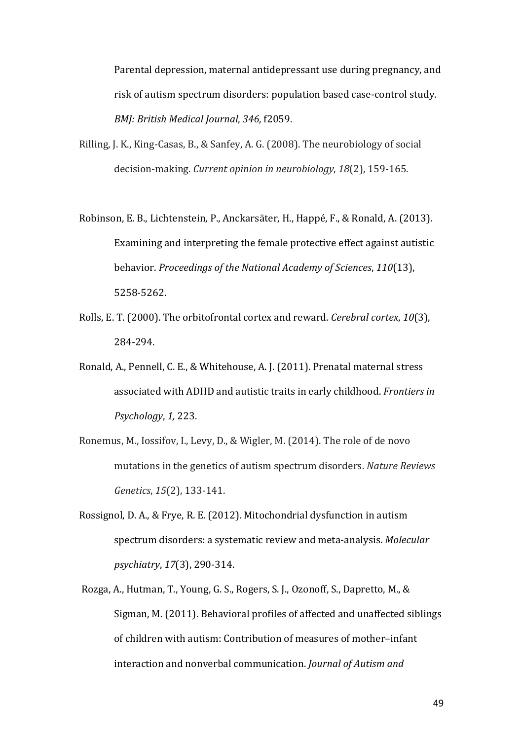Parental depression, maternal antidepressant use during pregnancy, and risk of autism spectrum disorders: population based case-control study. *BMJ: British Medical Journal, 346, f2059.* 

- Rilling, J. K., King-Casas, B., & Sanfey, A. G. (2008). The neurobiology of social decision-making. *Current opinion in neurobiology*, 18(2), 159-165.
- Robinson, E. B., Lichtenstein, P., Anckarsäter, H., Happé, F., & Ronald, A. (2013). Examining and interpreting the female protective effect against autistic behavior. *Proceedings of the National Academy of Sciences*, 110(13), 5258-5262.
- Rolls, E. T. (2000). The orbitofrontal cortex and reward. *Cerebral cortex*, 10(3), 284-294.
- Ronald, A., Pennell, C. E., & Whitehouse, A. J. (2011). Prenatal maternal stress associated with ADHD and autistic traits in early childhood. *Frontiers in Psychology*, 1, 223.
- Ronemus, M., Iossifov, I., Levy, D., & Wigler, M. (2014). The role of de novo mutations in the genetics of autism spectrum disorders. *Nature Reviews Genetics*, 15(2), 133-141.
- Rossignol, D. A., & Frye, R. E. (2012). Mitochondrial dysfunction in autism spectrum disorders: a systematic review and meta-analysis. *Molecular psychiatry*, *17*(3), 290-314.
- Rozga, A., Hutman, T., Young, G. S., Rogers, S. J., Ozonoff, S., Dapretto, M., & Sigman, M. (2011). Behavioral profiles of affected and unaffected siblings of children with autism: Contribution of measures of mother-infant interaction and nonverbal communication. *Journal of Autism and*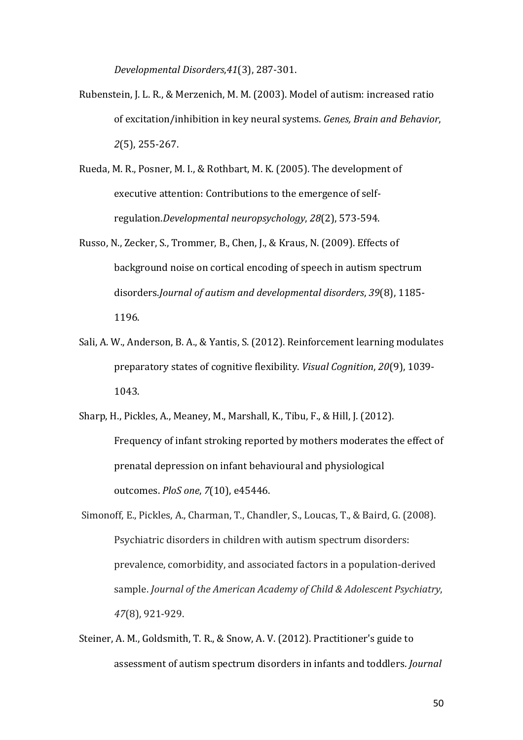*Developmental Disorders*,*41*(3), 287-301.

- Rubenstein, J. L. R., & Merzenich, M. M. (2003). Model of autism: increased ratio of excitation/inhibition in key neural systems. *Genes, Brain and Behavior*, *2*(5), 255-267.
- Rueda, M. R., Posner, M. I., & Rothbart, M. K. (2005). The development of executive attention: Contributions to the emergence of selfregulation.*Developmental neuropsychology*, *28*(2), 573-594.
- Russo, N., Zecker, S., Trommer, B., Chen, J., & Kraus, N. (2009). Effects of background noise on cortical encoding of speech in autism spectrum disorders.*Journal of autism and developmental disorders*, 39(8), 1185-1196.
- Sali, A. W., Anderson, B. A., & Yantis, S. (2012). Reinforcement learning modulates preparatory states of cognitive flexibility. *Visual Cognition*, 20(9), 1039-1043.
- Sharp, H., Pickles, A., Meaney, M., Marshall, K., Tibu, F., & Hill, J. (2012). Frequency of infant stroking reported by mothers moderates the effect of prenatal depression on infant behavioural and physiological outcomes. *PloS one*, *7*(10), e45446.
- Simonoff, E., Pickles, A., Charman, T., Chandler, S., Loucas, T., & Baird, G. (2008). Psychiatric disorders in children with autism spectrum disorders: prevalence, comorbidity, and associated factors in a population-derived sample. *Journal of the American Academy of Child & Adolescent Psychiatry*, *47*(8), 921-929.
- Steiner, A. M., Goldsmith, T. R., & Snow, A. V. (2012). Practitioner's guide to assessment of autism spectrum disorders in infants and toddlers. *Journal*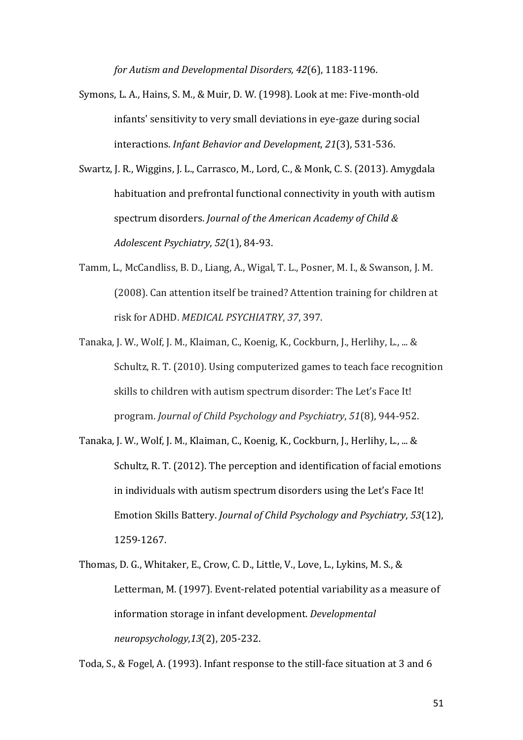*for Autism and Developmental Disorders, 42*(6), 1183-1196.

- Symons, L. A., Hains, S. M., & Muir, D. W. (1998). Look at me: Five-month-old infants' sensitivity to very small deviations in eye-gaze during social interactions. *Infant Behavior and Development*, 21(3), 531-536.
- Swartz, J. R., Wiggins, J. L., Carrasco, M., Lord, C., & Monk, C. S. (2013). Amygdala habituation and prefrontal functional connectivity in youth with autism spectrum disorders. *Journal of the American Academy of Child & Adolescent Psychiatry*, *52*(1), 84-93.
- Tamm, L., McCandliss, B. D., Liang, A., Wigal, T. L., Posner, M. I., & Swanson, J. M. (2008). Can attention itself be trained? Attention training for children at risk for ADHD. *MEDICAL PSYCHIATRY*, 37, 397.
- Tanaka, J. W., Wolf, J. M., Klaiman, C., Koenig, K., Cockburn, J., Herlihy, L., .., & Schultz, R. T. (2010). Using computerized games to teach face recognition skills to children with autism spectrum disorder: The Let's Face It! program. *Journal of Child Psychology and Psychiatry*, *51*(8), 944-952.
- Tanaka, J. W., Wolf, J. M., Klaiman, C., Koenig, K., Cockburn, J., Herlihy, L., ... & Schultz, R. T. (2012). The perception and identification of facial emotions in individuals with autism spectrum disorders using the Let's Face It! Emotion Skills Battery. *Journal of Child Psychology and Psychiatry*, *53*(12), 1259-1267.
- Thomas, D. G., Whitaker, E., Crow, C. D., Little, V., Love, L., Lykins, M. S., & Letterman, M. (1997). Event-related potential variability as a measure of information storage in infant development. *Developmental neuropsychology*,*13*(2), 205-232.

Toda, S., & Fogel, A. (1993). Infant response to the still-face situation at 3 and 6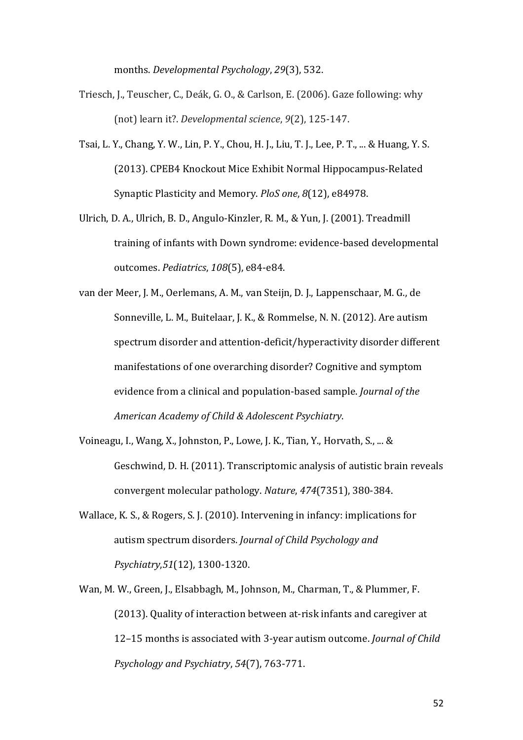months. *Developmental Psychology*, 29(3), 532.

- Triesch, J., Teuscher, C., Deák, G. O., & Carlson, E. (2006). Gaze following: why (not) learn it?. *Developmental science*,  $9(2)$ , 125-147.
- Tsai, L. Y., Chang, Y. W., Lin, P. Y., Chou, H. J., Liu, T. J., Lee, P. T., ... & Huang, Y. S. (2013). CPEB4 Knockout Mice Exhibit Normal Hippocampus-Related Synaptic Plasticity and Memory. *PloS one*,  $8(12)$ , e84978.
- Ulrich, D. A., Ulrich, B. D., Angulo-Kinzler, R. M., & Yun, J. (2001). Treadmill training of infants with Down syndrome: evidence-based developmental outcomes. *Pediatrics*, *108*(5), e84-e84.
- van der Meer, J. M., Oerlemans, A. M., van Steijn, D. J., Lappenschaar, M. G., de Sonneville, L. M., Buitelaar, J. K., & Rommelse, N. N. (2012). Are autism spectrum disorder and attention-deficit/hyperactivity disorder different manifestations of one overarching disorder? Cognitive and symptom evidence from a clinical and population-based sample. *Journal of the American Academy of Child & Adolescent Psychiatry*.
- Voineagu, I., Wang, X., Johnston, P., Lowe, J. K., Tian, Y., Horvath, S., ... & Geschwind, D. H. (2011). Transcriptomic analysis of autistic brain reveals convergent molecular pathology. *Nature*, 474(7351), 380-384.
- Wallace, K. S., & Rogers, S. J. (2010). Intervening in infancy: implications for autism spectrum disorders. *Journal of Child Psychology and Psychiatry*,*51*(12), 1300-1320.
- Wan, M. W., Green, J., Elsabbagh, M., Johnson, M., Charman, T., & Plummer, F. (2013). Quality of interaction between at-risk infants and caregiver at 12-15 months is associated with 3-year autism outcome. *Journal of Child Psychology and Psychiatry*, *54*(7), 763-771.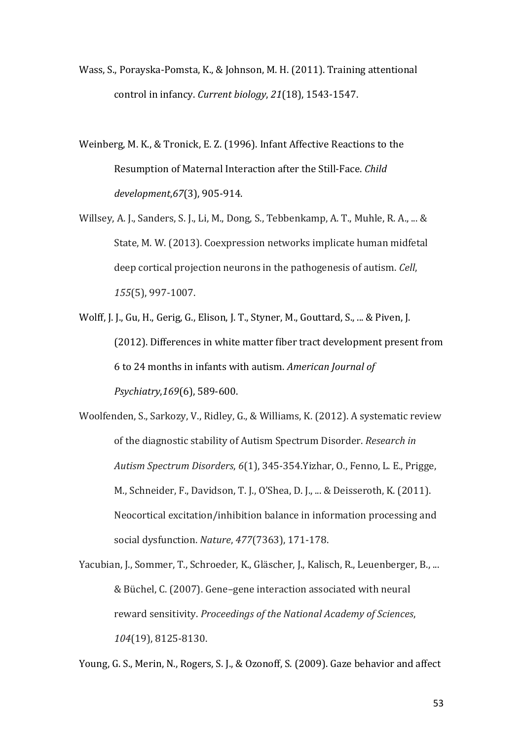- Wass, S., Porayska-Pomsta, K., & Johnson, M. H. (2011). Training attentional control in infancy. *Current biology*, 21(18), 1543-1547.
- Weinberg, M. K., & Tronick, E. Z. (1996). Infant Affective Reactions to the Resumption of Maternal Interaction after the Still-Face. *Child development*,*67*(3), 905-914.
- Willsey, A. J., Sanders, S. J., Li, M., Dong, S., Tebbenkamp, A. T., Muhle, R. A., ... & State, M. W. (2013). Coexpression networks implicate human midfetal deep cortical projection neurons in the pathogenesis of autism. *Cell*, *155*(5), 997-1007.
- Wolff, J. J., Gu, H., Gerig, G., Elison, J. T., Styner, M., Gouttard, S., ... & Piven, J. (2012). Differences in white matter fiber tract development present from 6 to 24 months in infants with autism. *American Journal of Psychiatry*,*169*(6), 589-600.
- Woolfenden, S., Sarkozy, V., Ridley, G., & Williams, K. (2012). A systematic review of the diagnostic stability of Autism Spectrum Disorder. *Research in Autism Spectrum Disorders,* 6(1), 345-354.Yizhar, O., Fenno, L. E., Prigge, M., Schneider, F., Davidson, T. J., O'Shea, D. J., ... & Deisseroth, K. (2011). Neocortical excitation/inhibition balance in information processing and social dysfunction. *Nature*, *477*(7363), 171-178.
- Yacubian, J., Sommer, T., Schroeder, K., Gläscher, J., Kalisch, R., Leuenberger, B., ... & Büchel, C. (2007). Gene–gene interaction associated with neural reward sensitivity. *Proceedings of the National Academy of Sciences*, *104*(19), 8125-8130.

Young, G. S., Merin, N., Rogers, S. J., & Ozonoff, S. (2009). Gaze behavior and affect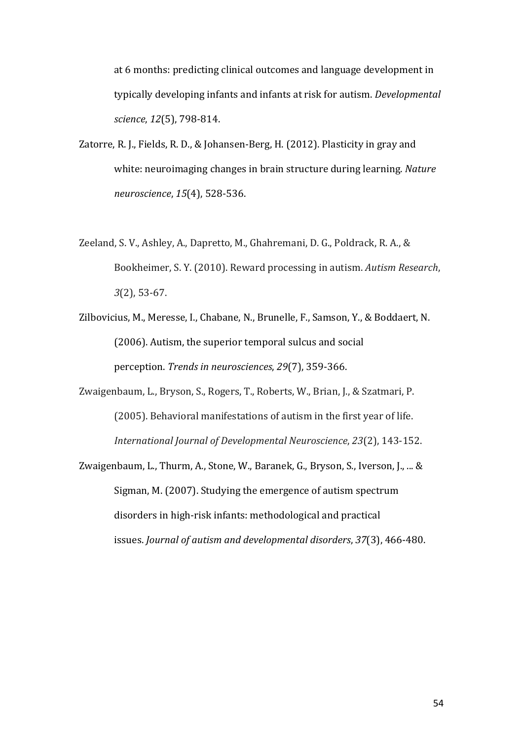at 6 months: predicting clinical outcomes and language development in typically developing infants and infants at risk for autism. *Developmental science*, *12*(5), 798-814.

- Zatorre, R. J., Fields, R. D., & Johansen-Berg, H. (2012). Plasticity in gray and white: neuroimaging changes in brain structure during learning. *Nature neuroscience*, *15*(4), 528-536.
- Zeeland, S. V., Ashley, A., Dapretto, M., Ghahremani, D. G., Poldrack, R. A., & Bookheimer, S. Y. (2010). Reward processing in autism. *Autism Research*, *3*(2), 53-67.
- Zilbovicius, M., Meresse, I., Chabane, N., Brunelle, F., Samson, Y., & Boddaert, N. (2006). Autism, the superior temporal sulcus and social perception. *Trends in neurosciences*, 29(7), 359-366.
- Zwaigenbaum, L., Bryson, S., Rogers, T., Roberts, W., Brian, J., & Szatmari, P. (2005). Behavioral manifestations of autism in the first year of life. *International Journal of Developmental Neuroscience*, *23*(2), 143-152.
- Zwaigenbaum, L., Thurm, A., Stone, W., Baranek, G., Bryson, S., Iverson, J., ... & Sigman, M. (2007). Studying the emergence of autism spectrum disorders in high-risk infants: methodological and practical issues. *Journal of autism and developmental disorders*, 37(3), 466-480.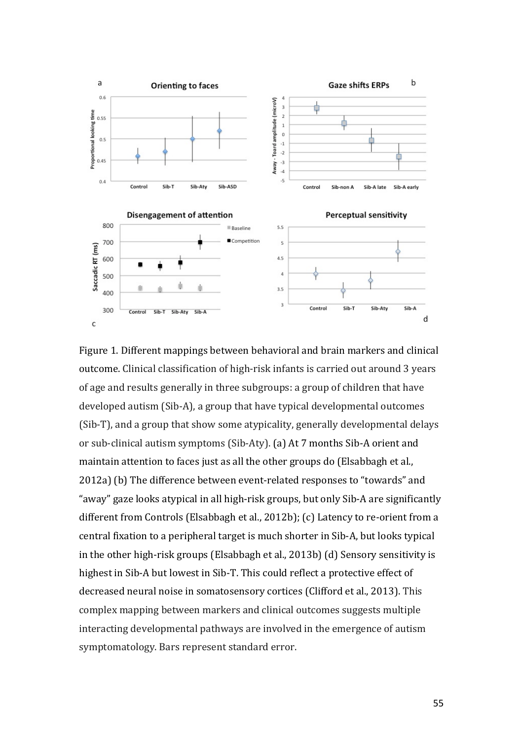

Figure 1. Different mappings between behavioral and brain markers and clinical outcome. Clinical classification of high-risk infants is carried out around 3 years of age and results generally in three subgroups: a group of children that have developed autism (Sib-A), a group that have typical developmental outcomes (Sib-T), and a group that show some atypicality, generally developmental delays or sub-clinical autism symptoms (Sib-Aty). (a) At 7 months Sib-A orient and maintain attention to faces just as all the other groups do (Elsabbagh et al., 2012a) (b) The difference between event-related responses to "towards" and "away" gaze looks atypical in all high-risk groups, but only Sib-A are significantly different from Controls (Elsabbagh et al., 2012b);  $(c)$  Latency to re-orient from a central fixation to a peripheral target is much shorter in Sib-A, but looks typical in the other high-risk groups (Elsabbagh et al., 2013b) (d) Sensory sensitivity is highest in Sib-A but lowest in Sib-T. This could reflect a protective effect of decreased neural noise in somatosensory cortices (Clifford et al., 2013). This complex mapping between markers and clinical outcomes suggests multiple interacting developmental pathways are involved in the emergence of autism symptomatology. Bars represent standard error.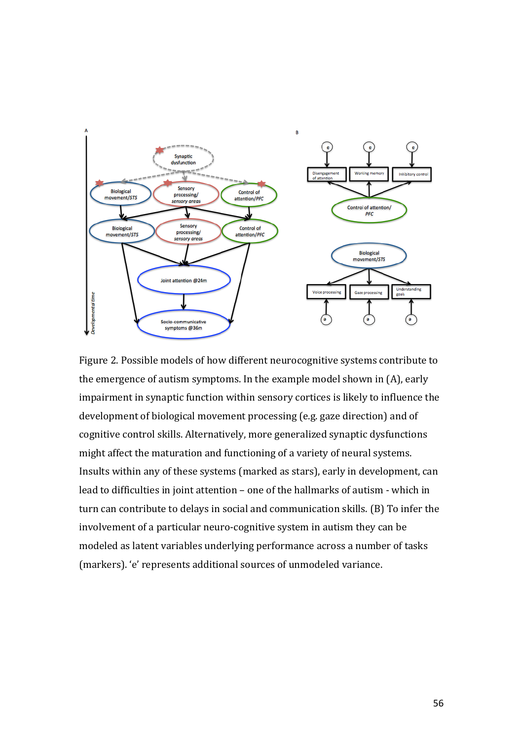

Figure 2. Possible models of how different neurocognitive systems contribute to the emergence of autism symptoms. In the example model shown in  $(A)$ , early impairment in synaptic function within sensory cortices is likely to influence the development of biological movement processing (e.g. gaze direction) and of cognitive control skills. Alternatively, more generalized synaptic dysfunctions might affect the maturation and functioning of a variety of neural systems. Insults within any of these systems (marked as stars), early in development, can lead to difficulties in joint attention - one of the hallmarks of autism - which in turn can contribute to delays in social and communication skills. (B) To infer the involvement of a particular neuro-cognitive system in autism they can be modeled as latent variables underlying performance across a number of tasks (markers). 'e' represents additional sources of unmodeled variance.